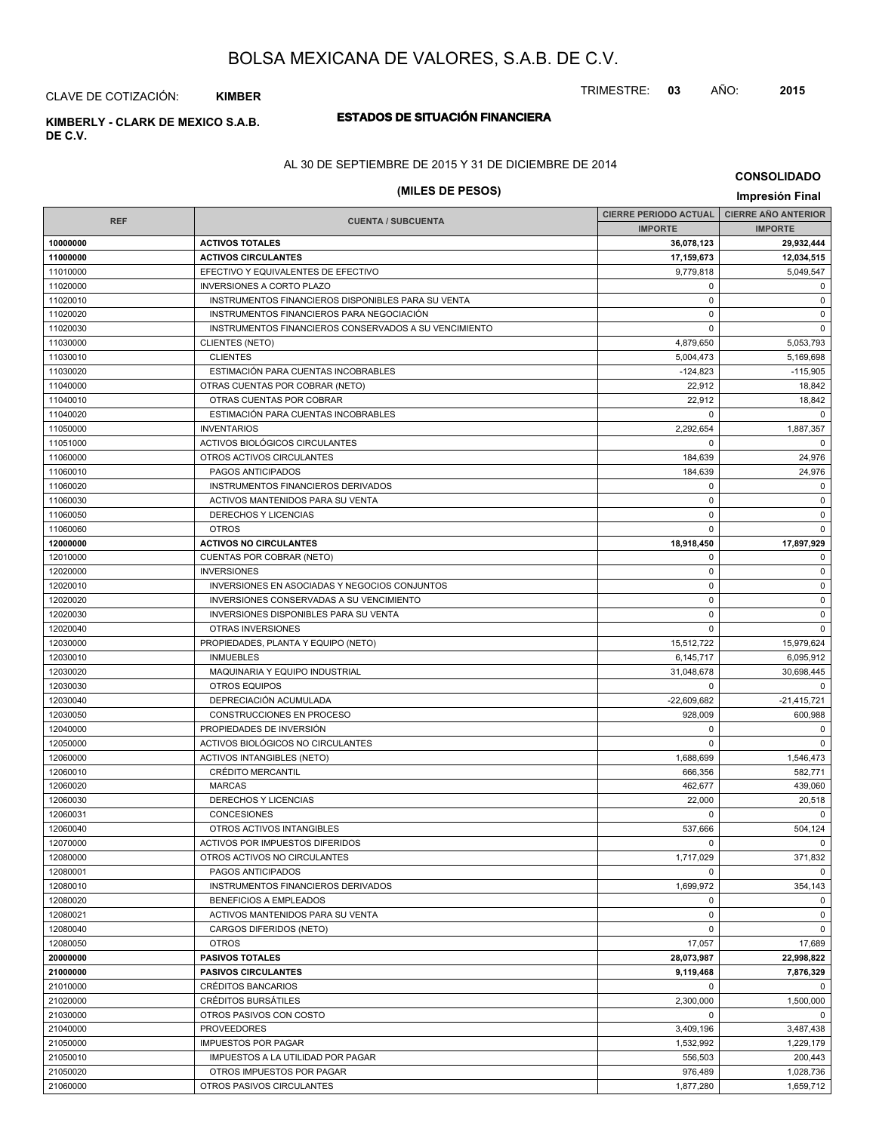TRIMESTRE: **03** AÑO: **2015**

## CLAVE DE COTIZACIÓN: **KIMBER**

# **DE C.V.**

## **ESTADOS DE SITUACIÓN FINANCIERA KIMBERLY - CLARK DE MEXICO S.A.B.**

## AL 30 DE SEPTIEMBRE DE 2015 Y 31 DE DICIEMBRE DE 2014

## **(MILES DE PESOS) Impresión Final**

|            |                                                       | <b>CIERRE PERIODO ACTUAL</b> | <b>CIERRE AÑO ANTERIOR</b> |
|------------|-------------------------------------------------------|------------------------------|----------------------------|
| <b>REF</b> | <b>CUENTA / SUBCUENTA</b>                             | <b>IMPORTE</b>               | <b>IMPORTE</b>             |
| 10000000   | <b>ACTIVOS TOTALES</b>                                | 36,078,123                   | 29,932,444                 |
| 11000000   | <b>ACTIVOS CIRCULANTES</b>                            | 17,159,673                   | 12.034.515                 |
| 11010000   | EFECTIVO Y EQUIVALENTES DE EFECTIVO                   | 9,779,818                    | 5,049,547                  |
| 11020000   | <b>INVERSIONES A CORTO PLAZO</b>                      | 0                            | $\mathbf 0$                |
| 11020010   | INSTRUMENTOS FINANCIEROS DISPONIBLES PARA SU VENTA    | $\mathbf 0$                  | $\mathbf 0$                |
| 11020020   | INSTRUMENTOS FINANCIEROS PARA NEGOCIACIÓN             | $\mathbf 0$                  | $\mathbf 0$                |
| 11020030   | INSTRUMENTOS FINANCIEROS CONSERVADOS A SU VENCIMIENTO | $\Omega$                     | $\mathbf 0$                |
| 11030000   | <b>CLIENTES (NETO)</b>                                | 4,879,650                    | 5,053,793                  |
| 11030010   | <b>CLIENTES</b>                                       | 5,004,473                    | 5,169,698                  |
| 11030020   | ESTIMACIÓN PARA CUENTAS INCOBRABLES                   | $-124,823$                   | $-115,905$                 |
| 11040000   | OTRAS CUENTAS POR COBRAR (NETO)                       | 22,912                       | 18,842                     |
| 11040010   | OTRAS CUENTAS POR COBRAR                              | 22,912                       | 18,842                     |
| 11040020   | ESTIMACIÓN PARA CUENTAS INCOBRABLES                   | $\Omega$                     | $\Omega$                   |
| 11050000   | <b>INVENTARIOS</b>                                    | 2,292,654                    | 1,887,357                  |
| 11051000   | ACTIVOS BIOLÓGICOS CIRCULANTES                        | 0                            | $\mathbf 0$                |
| 11060000   | OTROS ACTIVOS CIRCULANTES                             | 184,639                      | 24,976                     |
| 11060010   | PAGOS ANTICIPADOS                                     | 184,639                      | 24,976                     |
| 11060020   | INSTRUMENTOS FINANCIEROS DERIVADOS                    | $\mathbf 0$                  | $\mathbf 0$                |
| 11060030   | ACTIVOS MANTENIDOS PARA SU VENTA                      | $\mathbf 0$                  | $\mathbf 0$                |
| 11060050   | <b>DERECHOS Y LICENCIAS</b>                           | 0                            | $\mathbf 0$                |
| 11060060   | <b>OTROS</b>                                          | $\mathbf 0$                  | $\mathbf 0$                |
| 12000000   | <b>ACTIVOS NO CIRCULANTES</b>                         | 18.918.450                   | 17,897,929                 |
| 12010000   | CUENTAS POR COBRAR (NETO)                             | 0                            | $\mathbf 0$                |
| 12020000   | <b>INVERSIONES</b>                                    | $\mathbf 0$                  | $\mathbf 0$                |
| 12020010   | INVERSIONES EN ASOCIADAS Y NEGOCIOS CONJUNTOS         | $\mathbf 0$                  | $\mathbf 0$                |
| 12020020   | INVERSIONES CONSERVADAS A SU VENCIMIENTO              | $\mathbf 0$                  | $\mathbf 0$                |
| 12020030   | INVERSIONES DISPONIBLES PARA SU VENTA                 | $\mathbf 0$                  | $\mathbf 0$                |
| 12020040   | OTRAS INVERSIONES                                     | $\mathbf 0$                  | $\mathbf 0$                |
| 12030000   | PROPIEDADES, PLANTA Y EQUIPO (NETO)                   | 15,512,722                   | 15,979,624                 |
| 12030010   | <b>INMUEBLES</b>                                      | 6,145,717                    | 6,095,912                  |
| 12030020   | MAQUINARIA Y EQUIPO INDUSTRIAL                        | 31,048,678                   | 30,698,445                 |
| 12030030   | <b>OTROS EQUIPOS</b>                                  | $\mathbf 0$                  | $\mathbf 0$                |
| 12030040   | DEPRECIACIÓN ACUMULADA                                | $-22,609,682$                | $-21,415,721$              |
| 12030050   | CONSTRUCCIONES EN PROCESO                             | 928,009                      | 600,988                    |
| 12040000   | PROPIEDADES DE INVERSIÓN                              | 0                            | $\mathbf 0$                |
| 12050000   | ACTIVOS BIOLÓGICOS NO CIRCULANTES                     | 0                            | $\mathbf 0$                |
| 12060000   | <b>ACTIVOS INTANGIBLES (NETO)</b>                     | 1,688,699                    | 1,546,473                  |
| 12060010   | <b>CRÉDITO MERCANTIL</b>                              | 666,356                      | 582,771                    |
| 12060020   | <b>MARCAS</b>                                         | 462,677                      | 439,060                    |
| 12060030   | DERECHOS Y LICENCIAS                                  | 22,000                       | 20,518                     |
| 12060031   | CONCESIONES                                           | 0                            | $\Omega$                   |
| 12060040   | OTROS ACTIVOS INTANGIBLES                             | 537,666                      | 504,124                    |
| 12070000   | ACTIVOS POR IMPUESTOS DIFERIDOS                       | $\Omega$                     | $\Omega$                   |
| 12080000   | OTROS ACTIVOS NO CIRCULANTES                          | 1,717,029                    | 371,832                    |
| 12080001   | PAGOS ANTICIPADOS                                     | 0                            | $\mathbf 0$                |
| 12080010   | INSTRUMENTOS FINANCIEROS DERIVADOS                    | 1,699,972                    | 354,143                    |
| 12080020   | <b>BENEFICIOS A EMPLEADOS</b>                         | 0                            | $\mathbf 0$                |
| 12080021   | ACTIVOS MANTENIDOS PARA SU VENTA                      | 0                            | $\mathbf 0$                |
| 12080040   | CARGOS DIFERIDOS (NETO)                               | $\mathbf 0$                  | $\mathbf 0$                |
| 12080050   | <b>OTROS</b>                                          | 17,057                       | 17,689                     |
| 20000000   | <b>PASIVOS TOTALES</b>                                | 28,073,987                   | 22,998,822                 |
| 21000000   | <b>PASIVOS CIRCULANTES</b>                            | 9,119,468                    | 7,876,329                  |
| 21010000   | CRÉDITOS BANCARIOS                                    | 0                            | $\mathbf 0$                |
| 21020000   | <b>CRÉDITOS BURSATILES</b>                            | 2,300,000                    | 1,500,000                  |
| 21030000   | OTROS PASIVOS CON COSTO                               | $\mathbf 0$                  | $\mathbf 0$                |
| 21040000   | <b>PROVEEDORES</b>                                    | 3,409,196                    | 3,487,438                  |
| 21050000   | <b>IMPUESTOS POR PAGAR</b>                            | 1,532,992                    | 1,229,179                  |
| 21050010   | IMPUESTOS A LA UTILIDAD POR PAGAR                     | 556,503                      | 200,443                    |
| 21050020   | OTROS IMPUESTOS POR PAGAR                             | 976,489                      | 1,028,736                  |
| 21060000   | OTROS PASIVOS CIRCULANTES                             | 1,877,280                    | 1,659,712                  |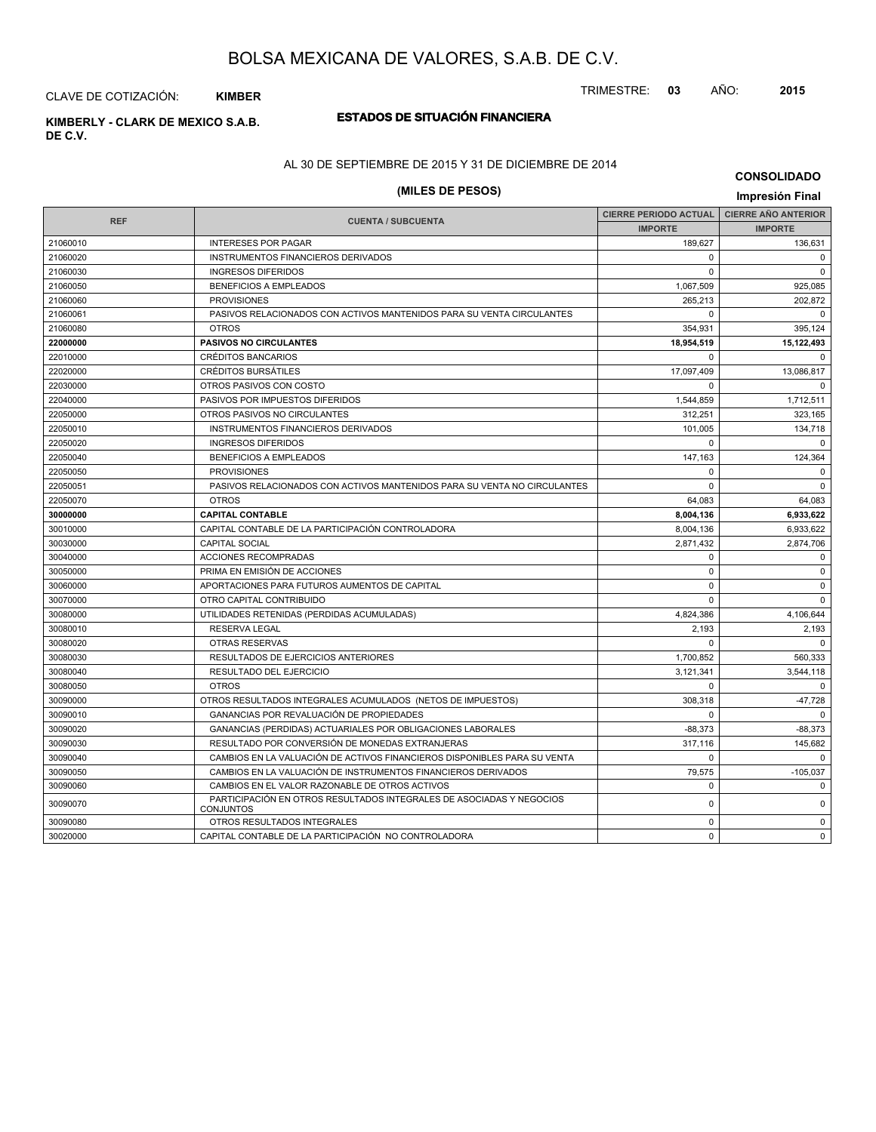TRIMESTRE: **03** AÑO: **2015**

# **ESTADOS DE SITUACIÓN FINANCIERA KIMBERLY - CLARK DE MEXICO S.A.B.** CLAVE DE COTIZACIÓN: **KIMBER**

**DE C.V.**

#### AL 30 DE SEPTIEMBRE DE 2015 Y 31 DE DICIEMBRE DE 2014

## **(MILES DE PESOS) Impresión Final**

| <b>REF</b> | <b>CUENTA / SUBCUENTA</b>                                                                | <b>CIERRE PERIODO ACTUAL</b> | <b>CIERRE AÑO ANTERIOR</b> |
|------------|------------------------------------------------------------------------------------------|------------------------------|----------------------------|
|            |                                                                                          | <b>IMPORTE</b>               | <b>IMPORTE</b>             |
| 21060010   | <b>INTERESES POR PAGAR</b>                                                               | 189,627                      | 136,631                    |
| 21060020   | INSTRUMENTOS FINANCIEROS DERIVADOS                                                       | $\Omega$                     | $\mathbf 0$                |
| 21060030   | <b>INGRESOS DIFERIDOS</b>                                                                | $\Omega$                     | $\Omega$                   |
| 21060050   | <b>BENEFICIOS A EMPLEADOS</b>                                                            | 1,067,509                    | 925,085                    |
| 21060060   | <b>PROVISIONES</b>                                                                       | 265,213                      | 202,872                    |
| 21060061   | PASIVOS RELACIONADOS CON ACTIVOS MANTENIDOS PARA SU VENTA CIRCULANTES                    | $\Omega$                     | $\Omega$                   |
| 21060080   | <b>OTROS</b>                                                                             | 354,931                      | 395,124                    |
| 22000000   | <b>PASIVOS NO CIRCULANTES</b>                                                            | 18,954,519                   | 15,122,493                 |
| 22010000   | <b>CRÉDITOS BANCARIOS</b>                                                                | $\Omega$                     | $\Omega$                   |
| 22020000   | <b>CRÉDITOS BURSÁTILES</b>                                                               | 17,097,409                   | 13,086,817                 |
| 22030000   | OTROS PASIVOS CON COSTO                                                                  | $\mathbf 0$                  | $\mathbf 0$                |
| 22040000   | PASIVOS POR IMPUESTOS DIFERIDOS                                                          | 1,544,859                    | 1,712,511                  |
| 22050000   | OTROS PASIVOS NO CIRCULANTES                                                             | 312,251                      | 323,165                    |
| 22050010   | <b>INSTRUMENTOS FINANCIEROS DERIVADOS</b>                                                | 101.005                      | 134,718                    |
| 22050020   | <b>INGRESOS DIFERIDOS</b>                                                                | $\Omega$                     | $\Omega$                   |
| 22050040   | <b>BENEFICIOS A EMPLEADOS</b>                                                            | 147,163                      | 124,364                    |
| 22050050   | <b>PROVISIONES</b>                                                                       | $\Omega$                     | $\mathbf 0$                |
| 22050051   | PASIVOS RELACIONADOS CON ACTIVOS MANTENIDOS PARA SU VENTA NO CIRCULANTES                 | $\Omega$                     | $\Omega$                   |
| 22050070   | <b>OTROS</b>                                                                             | 64,083                       | 64,083                     |
| 30000000   | <b>CAPITAL CONTABLE</b>                                                                  | 8,004,136                    | 6,933,622                  |
| 30010000   | CAPITAL CONTABLE DE LA PARTICIPACIÓN CONTROLADORA                                        | 8,004,136                    | 6,933,622                  |
| 30030000   | <b>CAPITAL SOCIAL</b>                                                                    | 2,871,432                    | 2,874,706                  |
| 30040000   | <b>ACCIONES RECOMPRADAS</b>                                                              | 0                            | $\mathbf 0$                |
| 30050000   | PRIMA EN EMISIÓN DE ACCIONES                                                             | $\mathbf 0$                  | $\mathbf 0$                |
| 30060000   | APORTACIONES PARA FUTUROS AUMENTOS DE CAPITAL                                            | $\Omega$                     | $\mathbf 0$                |
| 30070000   | OTRO CAPITAL CONTRIBUIDO                                                                 | $\Omega$                     | $\Omega$                   |
| 30080000   | UTILIDADES RETENIDAS (PERDIDAS ACUMULADAS)                                               | 4,824,386                    | 4,106,644                  |
| 30080010   | <b>RESERVA LEGAL</b>                                                                     | 2,193                        | 2,193                      |
| 30080020   | <b>OTRAS RESERVAS</b>                                                                    | $\Omega$                     | $\Omega$                   |
| 30080030   | RESULTADOS DE EJERCICIOS ANTERIORES                                                      | 1,700,852                    | 560,333                    |
| 30080040   | <b>RESULTADO DEL EJERCICIO</b>                                                           | 3.121.341                    | 3,544,118                  |
| 30080050   | <b>OTROS</b>                                                                             | $\mathbf 0$                  | $\mathbf 0$                |
| 30090000   | OTROS RESULTADOS INTEGRALES ACUMULADOS (NETOS DE IMPUESTOS)                              | 308,318                      | -47,728                    |
| 30090010   | GANANCIAS POR REVALUACIÓN DE PROPIEDADES                                                 | $\Omega$                     | $\Omega$                   |
| 30090020   | GANANCIAS (PERDIDAS) ACTUARIALES POR OBLIGACIONES LABORALES                              | $-88,373$                    | $-88,373$                  |
| 30090030   | RESULTADO POR CONVERSIÓN DE MONEDAS EXTRANJERAS                                          | 317,116                      | 145,682                    |
| 30090040   | CAMBIOS EN LA VALUACIÓN DE ACTIVOS FINANCIEROS DISPONIBLES PARA SU VENTA                 | $\Omega$                     | $\Omega$                   |
| 30090050   | CAMBIOS EN LA VALUACIÓN DE INSTRUMENTOS FINANCIEROS DERIVADOS                            | 79,575                       | $-105,037$                 |
| 30090060   | CAMBIOS EN EL VALOR RAZONABLE DE OTROS ACTIVOS                                           | $\mathbf 0$                  | $\mathbf 0$                |
| 30090070   | PARTICIPACIÓN EN OTROS RESULTADOS INTEGRALES DE ASOCIADAS Y NEGOCIOS<br><b>CONJUNTOS</b> | $\mathbf 0$                  | $\mathbf 0$                |
| 30090080   | OTROS RESULTADOS INTEGRALES                                                              | $\mathbf 0$                  | $\mathbf 0$                |
| 30020000   | CAPITAL CONTABLE DE LA PARTICIPACIÓN NO CONTROLADORA                                     | $\Omega$                     | $\mathbf 0$                |
|            |                                                                                          |                              |                            |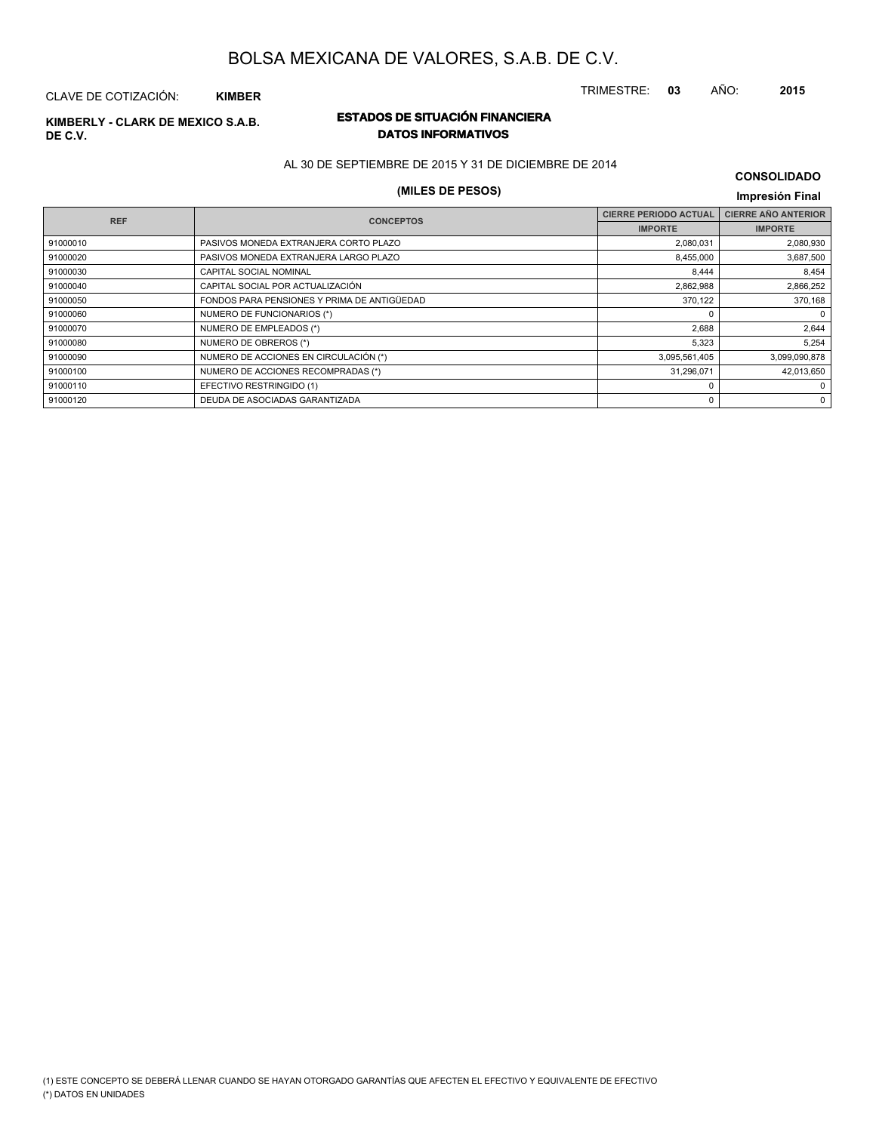TRIMESTRE: **03** AÑO: **2015**

## CLAVE DE COTIZACIÓN: **KIMBER**

# **DE C.V.**

## **ESTADOS DE SITUACIÓN FINANCIERA KIMBERLY - CLARK DE MEXICO S.A.B. DATOS INFORMATIVOS**

AL 30 DE SEPTIEMBRE DE 2015 Y 31 DE DICIEMBRE DE 2014

## **(MILES DE PESOS) Impresión Final**

|                                             | <b>CIERRE PERIODO ACTUAL</b> | <b>CIERRE AÑO ANTERIOR</b> |
|---------------------------------------------|------------------------------|----------------------------|
|                                             | <b>IMPORTE</b>               | <b>IMPORTE</b>             |
| PASIVOS MONEDA EXTRANJERA CORTO PLAZO       | 2,080,031                    | 2,080,930                  |
| PASIVOS MONEDA EXTRANJERA LARGO PLAZO       | 8,455,000                    | 3,687,500                  |
| CAPITAL SOCIAL NOMINAL                      | 8,444                        | 8,454                      |
| CAPITAL SOCIAL POR ACTUALIZACIÓN            | 2,862,988                    | 2,866,252                  |
| FONDOS PARA PENSIONES Y PRIMA DE ANTIGÜEDAD | 370,122                      | 370,168                    |
| NUMERO DE FUNCIONARIOS (*)                  |                              | 0                          |
| NUMERO DE EMPLEADOS (*)                     | 2,688                        | 2,644                      |
| NUMERO DE OBREROS (*)                       | 5,323                        | 5,254                      |
| NUMERO DE ACCIONES EN CIRCULACIÓN (*)       | 3,095,561,405                | 3,099,090,878              |
| NUMERO DE ACCIONES RECOMPRADAS (*)          | 31,296,071                   | 42,013,650                 |
| EFECTIVO RESTRINGIDO (1)                    |                              | 0                          |
| DEUDA DE ASOCIADAS GARANTIZADA              | 0                            | 0                          |
|                                             | <b>CONCEPTOS</b>             |                            |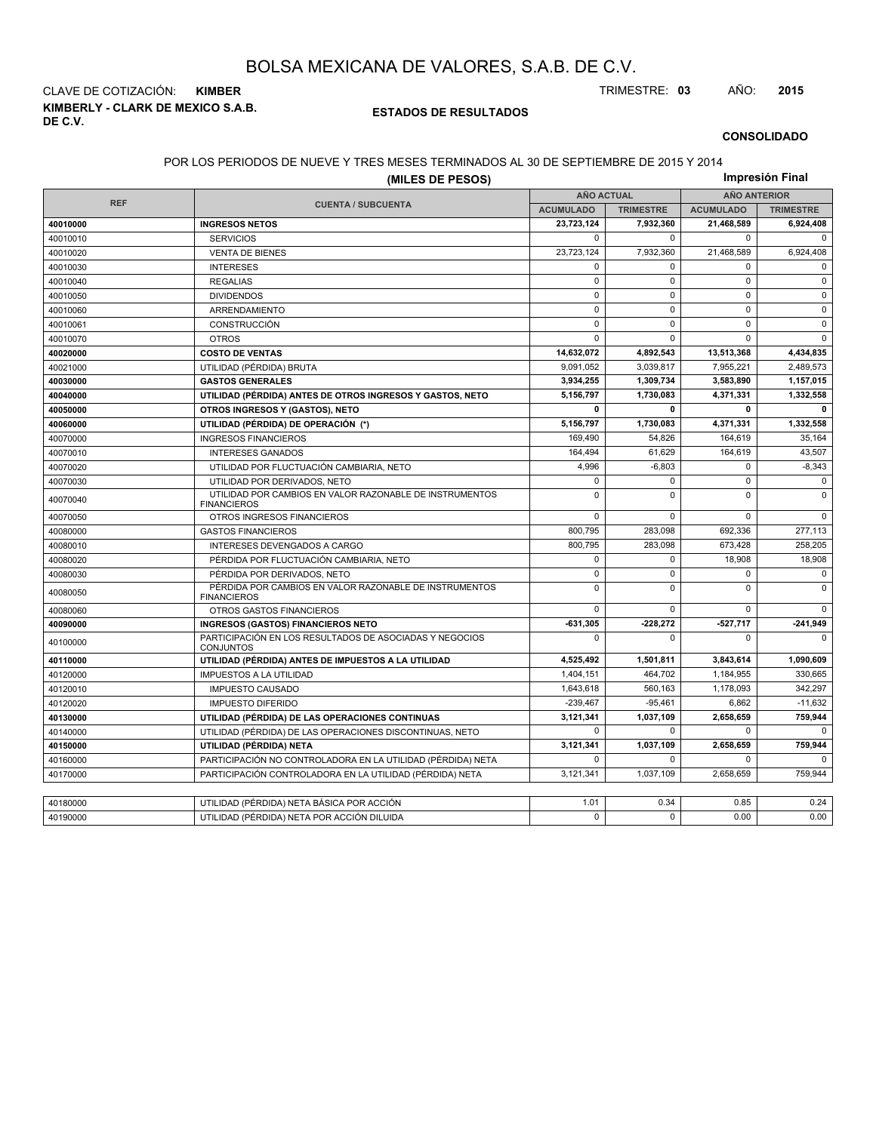**KIMBERLY - CLARK DE MEXICO S.A.B. DE C.V.** CLAVE DE COTIZACIÓN: **KIMBER** TRIMESTRE: **03** AÑO: **2015**

## **ESTADOS DE RESULTADOS**

#### **CONSOLIDADO**

## POR LOS PERIODOS DE NUEVE Y TRES MESES TERMINADOS AL 30 DE SEPTIEMBRE DE 2015 Y 2014

|            | (MILES DE PESOS)                                                              |                   |                  |                     | Impresión Final  |  |
|------------|-------------------------------------------------------------------------------|-------------------|------------------|---------------------|------------------|--|
|            |                                                                               | <b>AÑO ACTUAL</b> |                  | <b>AÑO ANTERIOR</b> |                  |  |
| <b>REF</b> | <b>CUENTA / SUBCUENTA</b>                                                     | <b>ACUMULADO</b>  | <b>TRIMESTRE</b> | <b>ACUMULADO</b>    | <b>TRIMESTRE</b> |  |
| 40010000   | <b>INGRESOS NETOS</b>                                                         | 23.723.124        | 7,932,360        | 21,468,589          | 6,924,408        |  |
| 40010010   | <b>SERVICIOS</b>                                                              | $\mathbf 0$       | $\Omega$         | $\mathbf 0$         | $\mathbf 0$      |  |
| 40010020   | <b>VENTA DE BIENES</b>                                                        | 23,723,124        | 7,932,360        | 21,468,589          | 6,924,408        |  |
| 40010030   | <b>INTERESES</b>                                                              | $\mathbf 0$       | $\Omega$         | $\mathbf 0$         | $\mathbf 0$      |  |
| 40010040   | <b>REGALIAS</b>                                                               | $\mathbf 0$       | $\mathbf 0$      | $\mathbf 0$         | $\mathbf 0$      |  |
| 40010050   | <b>DIVIDENDOS</b>                                                             | $\mathsf 0$       | $\mathbf 0$      | $\mathbf 0$         | $\mathbf 0$      |  |
| 40010060   | ARRENDAMIENTO                                                                 | $\mathbf 0$       | $\mathbf 0$      | $\mathbf 0$         | $\mathbf 0$      |  |
| 40010061   | CONSTRUCCIÓN                                                                  | $\mathbf 0$       | $\Omega$         | $\mathbf 0$         | $\mathbf 0$      |  |
| 40010070   | <b>OTROS</b>                                                                  | $\mathbf 0$       | $\mathbf 0$      | $\mathbf 0$         | $\mathbf 0$      |  |
| 40020000   | <b>COSTO DE VENTAS</b>                                                        | 14,632,072        | 4,892,543        | 13,513,368          | 4,434,835        |  |
| 40021000   | UTILIDAD (PÉRDIDA) BRUTA                                                      | 9.091.052         | 3,039,817        | 7,955,221           | 2,489,573        |  |
| 40030000   | <b>GASTOS GENERALES</b>                                                       | 3,934,255         | 1,309,734        | 3,583,890           | 1,157,015        |  |
| 40040000   | UTILIDAD (PÉRDIDA) ANTES DE OTROS INGRESOS Y GASTOS, NETO                     | 5,156,797         | 1,730,083        | 4,371,331           | 1,332,558        |  |
| 40050000   | OTROS INGRESOS Y (GASTOS), NETO                                               | 0                 | $\mathbf{0}$     | $\mathbf{0}$        | 0                |  |
| 40060000   | UTILIDAD (PÉRDIDA) DE OPERACIÓN (*)                                           | 5,156,797         | 1,730,083        | 4,371,331           | 1,332,558        |  |
| 40070000   | <b>INGRESOS FINANCIEROS</b>                                                   | 169,490           | 54,826           | 164,619             | 35,164           |  |
| 40070010   | <b>INTERESES GANADOS</b>                                                      | 164,494           | 61.629           | 164,619             | 43,507           |  |
| 40070020   | UTILIDAD POR FLUCTUACIÓN CAMBIARIA, NETO                                      | 4,996             | $-6,803$         | 0                   | $-8,343$         |  |
| 40070030   | UTILIDAD POR DERIVADOS, NETO                                                  | 0                 | $\mathbf 0$      | $\pmb{0}$           | $\mathbf 0$      |  |
| 40070040   | UTILIDAD POR CAMBIOS EN VALOR RAZONABLE DE INSTRUMENTOS<br><b>FINANCIEROS</b> | $\mathbf 0$       | $\Omega$         | $\Omega$            | $\Omega$         |  |
| 40070050   | OTROS INGRESOS FINANCIEROS                                                    | $\mathbf 0$       | $\Omega$         | $\Omega$            | $\mathbf 0$      |  |
| 40080000   | <b>GASTOS FINANCIEROS</b>                                                     | 800,795           | 283,098          | 692,336             | 277,113          |  |
| 40080010   | INTERESES DEVENGADOS A CARGO                                                  | 800,795           | 283,098          | 673,428             | 258,205          |  |
| 40080020   | PÉRDIDA POR FLUCTUACIÓN CAMBIARIA, NETO                                       | $\mathbf 0$       | $\mathbf 0$      | 18,908              | 18,908           |  |
| 40080030   | PÉRDIDA POR DERIVADOS, NETO                                                   | $\mathbf 0$       | $\mathbf 0$      | 0                   | 0                |  |
| 40080050   | PÉRDIDA POR CAMBIOS EN VALOR RAZONABLE DE INSTRUMENTOS<br><b>FINANCIEROS</b>  | $\mathsf 0$       | $\mathbf 0$      | $\mathbf 0$         | $\mathbf{0}$     |  |
| 40080060   | OTROS GASTOS FINANCIEROS                                                      | 0                 | $\mathbf 0$      | $\mathbf 0$         | $\mathbf 0$      |  |
| 40090000   | <b>INGRESOS (GASTOS) FINANCIEROS NETO</b>                                     | $-631,305$        | -228,272         | 527,717             | $-241,949$       |  |
| 40100000   | PARTICIPACIÓN EN LOS RESULTADOS DE ASOCIADAS Y NEGOCIOS<br><b>CONJUNTOS</b>   | $\mathbf 0$       | $\mathbf 0$      | $\mathbf 0$         | $\mathbf 0$      |  |
| 40110000   | UTILIDAD (PÉRDIDA) ANTES DE IMPUESTOS A LA UTILIDAD                           | 4,525,492         | 1,501,811        | 3,843,614           | 1,090,609        |  |
| 40120000   | <b>IMPUESTOS A LA UTILIDAD</b>                                                | 1,404,151         | 464,702          | 1,184,955           | 330,665          |  |
| 40120010   | <b>IMPUESTO CAUSADO</b>                                                       | 1.643.618         | 560.163          | 1,178,093           | 342.297          |  |
| 40120020   | <b>IMPUESTO DIFERIDO</b>                                                      | $-239,467$        | $-95,461$        | 6,862               | $-11,632$        |  |
| 40130000   | UTILIDAD (PÉRDIDA) DE LAS OPERACIONES CONTINUAS                               | 3,121,341         | 1,037,109        | 2,658,659           | 759,944          |  |
| 40140000   | UTILIDAD (PÉRDIDA) DE LAS OPERACIONES DISCONTINUAS, NETO                      | $\mathbf 0$       | $\Omega$         | $\Omega$            | $\Omega$         |  |
| 40150000   | UTILIDAD (PÉRDIDA) NETA                                                       | 3,121,341         | 1,037,109        | 2,658,659           | 759,944          |  |
| 40160000   | PARTICIPACIÓN NO CONTROLADORA EN LA UTILIDAD (PÉRDIDA) NETA                   | $\mathbf 0$       | $\mathbf 0$      | $\mathbf 0$         | $\Omega$         |  |
| 40170000   | PARTICIPACIÓN CONTROLADORA EN LA UTILIDAD (PÉRDIDA) NETA                      | 3.121.341         | 1.037.109        | 2.658.659           | 759.944          |  |
|            |                                                                               |                   |                  |                     |                  |  |
| 40180000   | UTILIDAD (PÉRDIDA) NETA BÁSICA POR ACCIÓN                                     | 1.01              | 0.34             | 0.85                | 0.24             |  |
| 40190000   | UTILIDAD (PÉRDIDA) NETA POR ACCIÓN DILUIDA                                    | $\mathbf 0$       | $\Omega$         | 0.00                | 0.00             |  |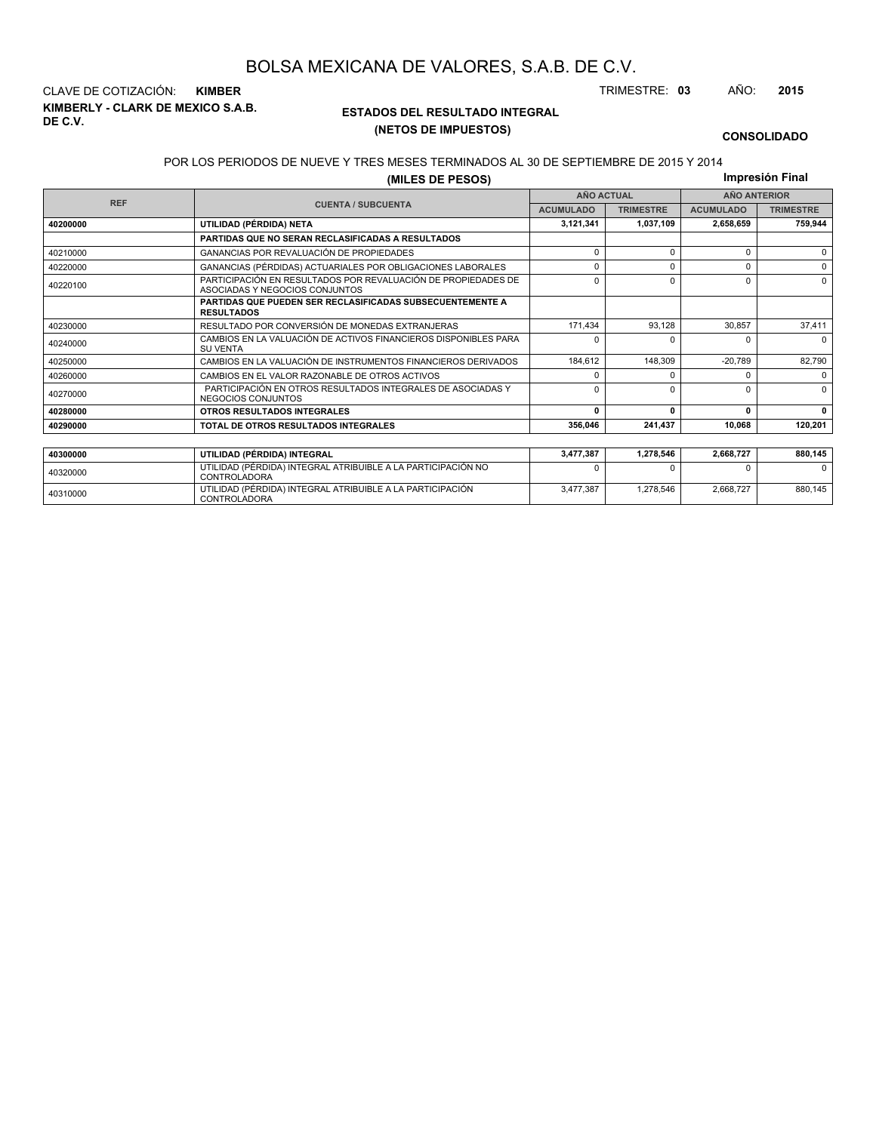**KIMBERLY - CLARK DE MEXICO S.A.B. DE C.V.** CLAVE DE COTIZACIÓN: **KIMBER** TRIMESTRE: **03** AÑO: **2015**

<sup>40310000</sup> UTILIDAD (PÉRDIDA) INTEGRAL ATRIBUIBLE A LA PARTICIPACIÓN CONTROLADORA

## **ESTADOS DEL RESULTADO INTEGRAL (NETOS DE IMPUESTOS)**

3,477,387 1,278,546 2,668,727 880,145

#### **CONSOLIDADO**

#### POR LOS PERIODOS DE NUEVE Y TRES MESES TERMINADOS AL 30 DE SEPTIEMBRE DE 2015 Y 2014

**(MILES DE PESOS)**

**Impresión Final**

|            | ,=== == . === .                                                                                 |                   |                  |                     |                  |  |
|------------|-------------------------------------------------------------------------------------------------|-------------------|------------------|---------------------|------------------|--|
| <b>REF</b> |                                                                                                 | <b>AÑO ACTUAL</b> |                  | <b>AÑO ANTERIOR</b> |                  |  |
|            | <b>CUENTA / SUBCUENTA</b>                                                                       | <b>ACUMULADO</b>  | <b>TRIMESTRE</b> | <b>ACUMULADO</b>    | <b>TRIMESTRE</b> |  |
| 40200000   | UTILIDAD (PÉRDIDA) NETA                                                                         | 3,121,341         | 1,037,109        | 2,658,659           | 759,944          |  |
|            | PARTIDAS QUE NO SERAN RECLASIFICADAS A RESULTADOS                                               |                   |                  |                     |                  |  |
| 40210000   | <b>GANANCIAS POR REVALUACIÓN DE PROPIEDADES</b>                                                 | 0                 |                  | $\Omega$            | $\Omega$         |  |
| 40220000   | GANANCIAS (PÉRDIDAS) ACTUARIALES POR OBLIGACIONES LABORALES                                     | 0                 | $\Omega$         | 0                   | $\Omega$         |  |
| 40220100   | PARTICIPACIÓN EN RESULTADOS POR REVALUACIÓN DE PROPIEDADES DE<br>ASOCIADAS Y NEGOCIOS CONJUNTOS | 0                 | O                | $\Omega$            | $\Omega$         |  |
|            | <b>PARTIDAS QUE PUEDEN SER RECLASIFICADAS SUBSECUENTEMENTE A</b><br><b>RESULTADOS</b>           |                   |                  |                     |                  |  |
| 40230000   | RESULTADO POR CONVERSIÓN DE MONEDAS EXTRANJERAS                                                 | 171.434           | 93.128           | 30.857              | 37,411           |  |
| 40240000   | CAMBIOS EN LA VALUACIÓN DE ACTIVOS FINANCIEROS DISPONIBLES PARA<br><b>SU VENTA</b>              | <sup>0</sup>      |                  | $\Omega$            | $\Omega$         |  |
| 40250000   | CAMBIOS EN LA VALUACIÓN DE INSTRUMENTOS FINANCIEROS DERIVADOS                                   | 184,612           | 148,309          | $-20,789$           | 82,790           |  |
| 40260000   | CAMBIOS EN EL VALOR RAZONABLE DE OTROS ACTIVOS                                                  | <sup>0</sup>      |                  | $\Omega$            | $\Omega$         |  |
| 40270000   | PARTICIPACIÓN EN OTROS RESULTADOS INTEGRALES DE ASOCIADAS Y<br>NEGOCIOS CONJUNTOS               | $\Omega$          | $\Omega$         | $\Omega$            | $\Omega$         |  |
| 40280000   | OTROS RESULTADOS INTEGRALES                                                                     | 0                 | $\Omega$         | 0                   | $\mathbf{0}$     |  |
| 40290000   | TOTAL DE OTROS RESULTADOS INTEGRALES                                                            | 356.046           | 241.437          | 10,068              | 120,201          |  |
|            |                                                                                                 |                   |                  |                     |                  |  |
| 40300000   | UTILIDAD (PÉRDIDA) INTEGRAL                                                                     | 3,477,387         | 1,278,546        | 2,668,727           | 880,145          |  |
| 40320000   | UTILIDAD (PÉRDIDA) INTEGRAL ATRIBUIBLE A LA PARTICIPACIÓN NO<br><b>CONTROLADORA</b>             | ŋ                 |                  |                     | <sup>0</sup>     |  |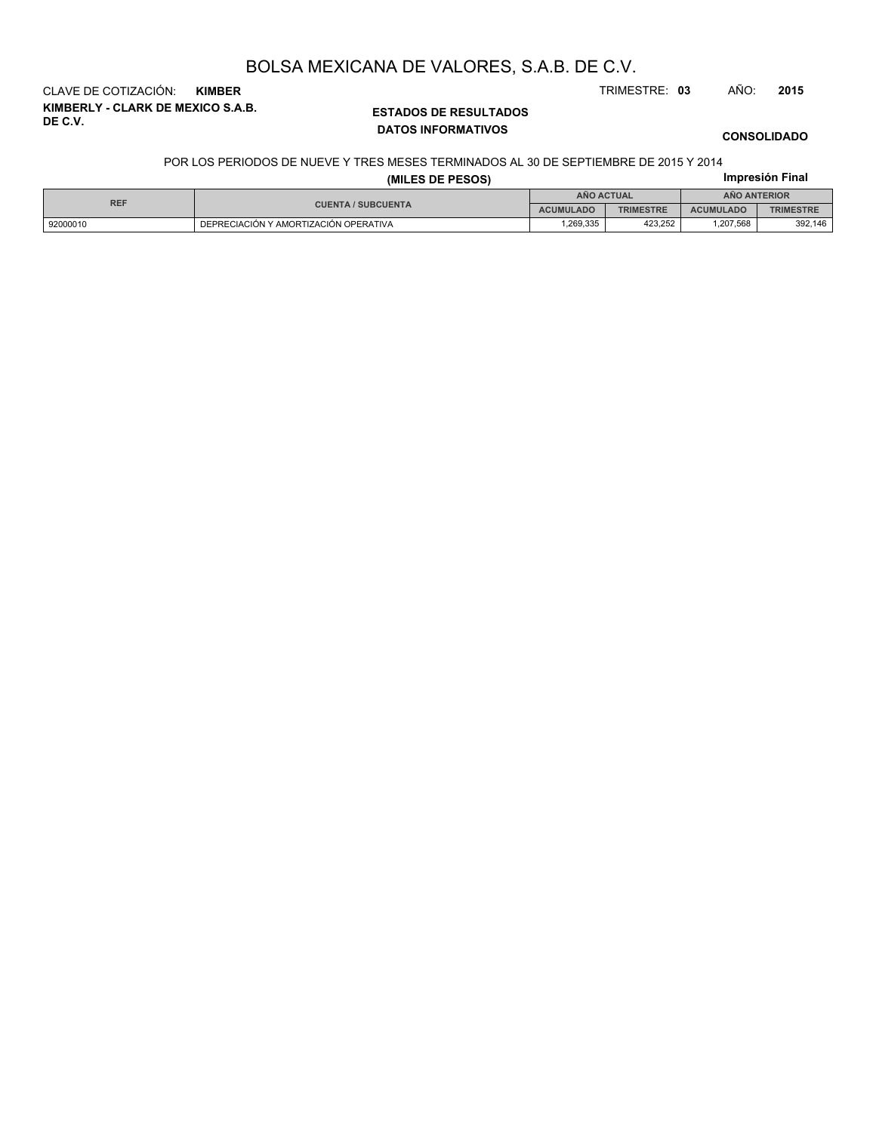CLAVE DE COTIZACIÓN: **KIMBER** TRIMESTRE: **03** AÑO: **2015**

**KIMBERLY - CLARK DE MEXICO S.A.B. DE C.V.**

## **ESTADOS DE RESULTADOS DATOS INFORMATIVOS**

## **CONSOLIDADO**

#### POR LOS PERIODOS DE NUEVE Y TRES MESES TERMINADOS AL 30 DE SEPTIEMBRE DE 2015 Y 2014

|            |                                       | Impresión Final  |                  |                  |                  |  |
|------------|---------------------------------------|------------------|------------------|------------------|------------------|--|
| <b>REF</b> |                                       | ANO ACTUAL       |                  | AÑO ANTERIOR     |                  |  |
|            | <b>CUENTA / SUBCUENTA</b>             | <b>ACUMULADO</b> | <b>TRIMESTRE</b> | <b>ACUMULADO</b> | <b>TRIMESTRE</b> |  |
| 92000010   | DEPRECIACIÓN Y AMORTIZACIÓN OPERATIVA | 1,269,335        | 423.252          | 1,207,568        | 392,146          |  |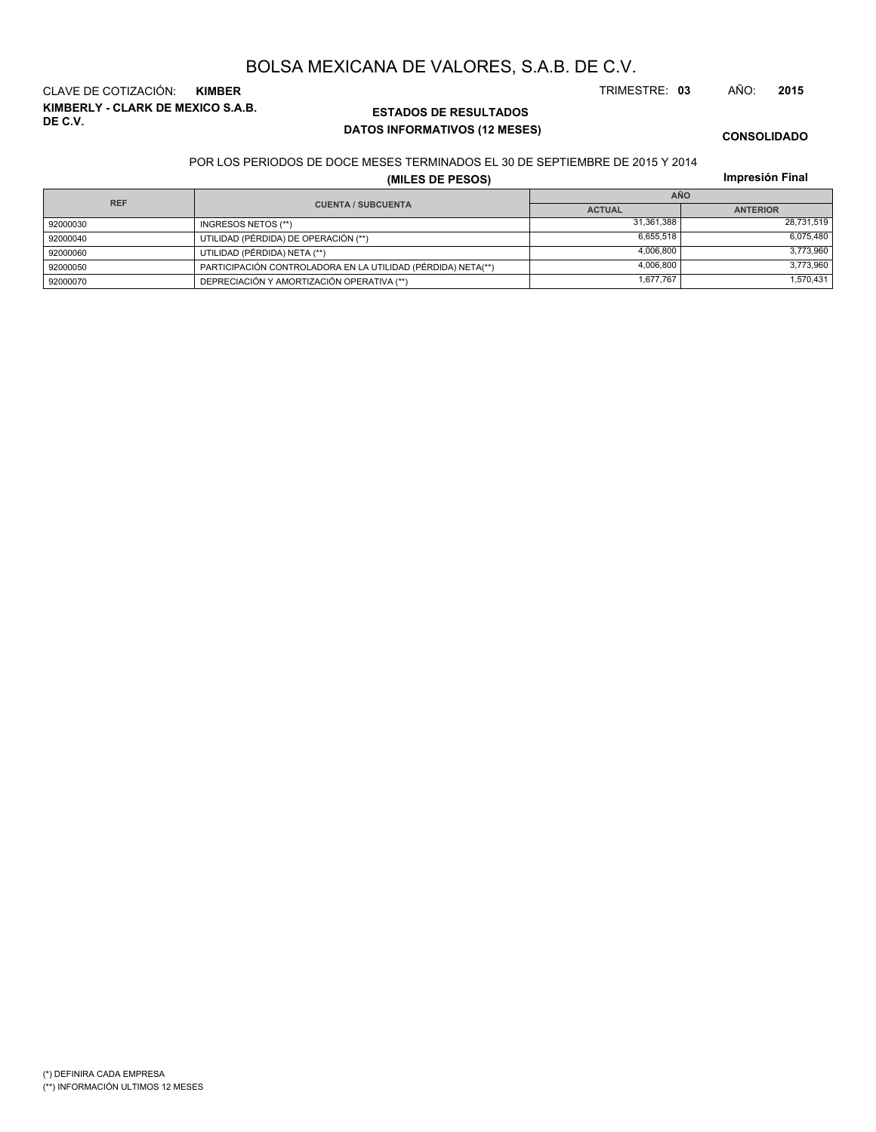**KIMBERLY - CLARK DE MEXICO S.A.B. DE C.V.** CLAVE DE COTIZACIÓN: **KIMBER** TRIMESTRE: **03** AÑO: **2015**

## **ESTADOS DE RESULTADOS DATOS INFORMATIVOS (12 MESES)**

**CONSOLIDADO**

POR LOS PERIODOS DE DOCE MESES TERMINADOS EL 30 DE SEPTIEMBRE DE 2015 Y 2014

**(MILES DE PESOS)**

|  | Impresión Final |
|--|-----------------|
|  |                 |

| <b>REF</b> |                                                              | <b>AÑO</b>    |                 |  |  |  |
|------------|--------------------------------------------------------------|---------------|-----------------|--|--|--|
|            | <b>CUENTA / SUBCUENTA</b>                                    | <b>ACTUAL</b> | <b>ANTERIOR</b> |  |  |  |
| 92000030   | INGRESOS NETOS (**)                                          | 31.361.388    | 28,731,519      |  |  |  |
| 92000040   | UTILIDAD (PÉRDIDA) DE OPERACIÓN (**)                         | 6.655.518     | 6.075.480       |  |  |  |
| 92000060   | UTILIDAD (PÉRDIDA) NETA (**)                                 | 4.006.800     | 3,773,960       |  |  |  |
| 92000050   | PARTICIPACIÓN CONTROLADORA EN LA UTILIDAD (PÉRDIDA) NETA(**) | 4.006.800     | 3,773,960       |  |  |  |
| 92000070   | DEPRECIACIÓN Y AMORTIZACIÓN OPERATIVA (**)                   | 1.677.767     | 1,570,431       |  |  |  |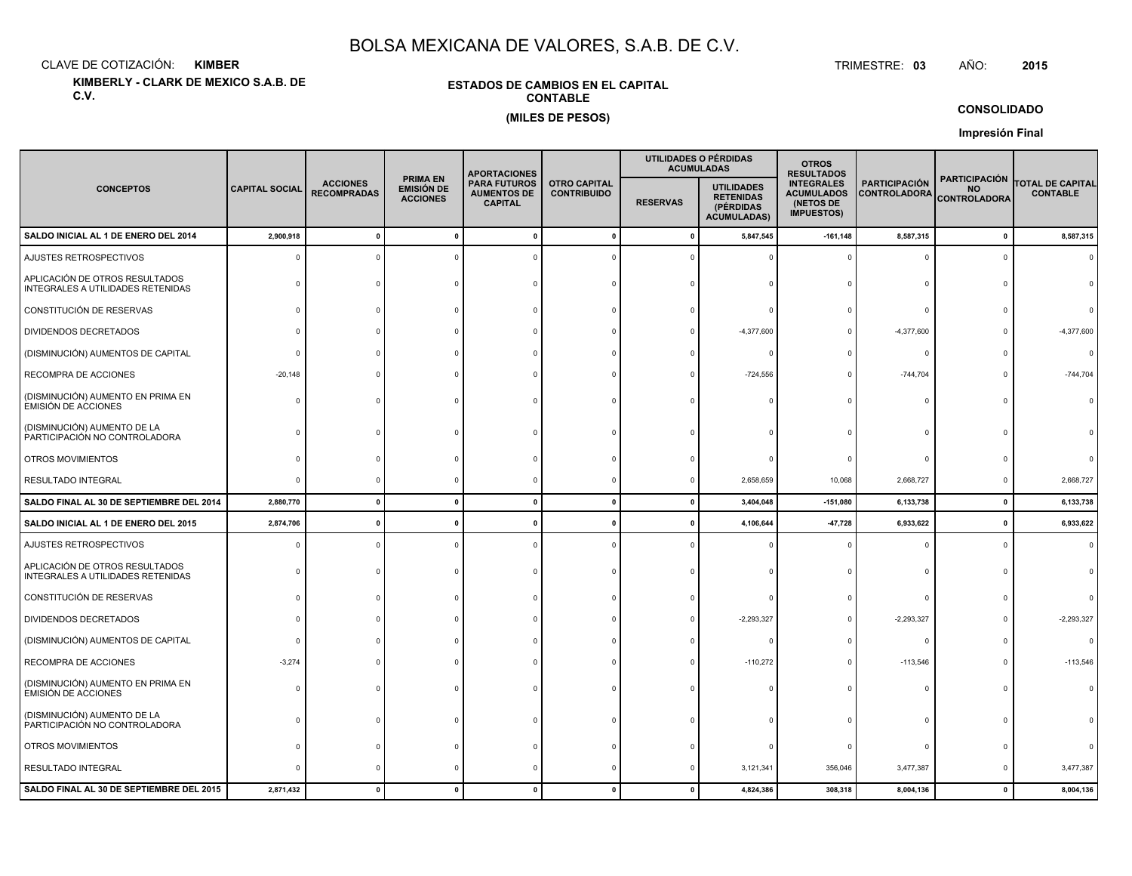CLAVE DE COTIZACIÓN:**KIMBER**: KIMBER TRIMESTRE:

**KIMBERLY - CLARK DE MEXICO S.A.B. DE C.V.**

## **ESTADOS DE CAMBIOS EN EL CAPITALCONTABLE(MILES DE PESOS)**

TRIMESTRE: 03 AÑO: **<sup>2015</sup>**

**CONSOLIDADO**

**Impresión Final**

|                                                                     |                       |                                       |                                                         | <b>APORTACIONES</b>                                         |                                           |                 | UTILIDADES O PÉRDIDAS<br><b>ACUMULADAS</b>                               | <b>OTROS</b><br><b>RESULTADOS</b>                                        |                                             |                                                          |                                     |
|---------------------------------------------------------------------|-----------------------|---------------------------------------|---------------------------------------------------------|-------------------------------------------------------------|-------------------------------------------|-----------------|--------------------------------------------------------------------------|--------------------------------------------------------------------------|---------------------------------------------|----------------------------------------------------------|-------------------------------------|
| <b>CONCEPTOS</b>                                                    | <b>CAPITAL SOCIAL</b> | <b>ACCIONES</b><br><b>RECOMPRADAS</b> | <b>PRIMA EN</b><br><b>EMISIÓN DE</b><br><b>ACCIONES</b> | <b>PARA FUTUROS</b><br><b>AUMENTOS DE</b><br><b>CAPITAL</b> | <b>OTRO CAPITAL</b><br><b>CONTRIBUIDO</b> | <b>RESERVAS</b> | <b>UTILIDADES</b><br><b>RETENIDAS</b><br>(PÉRDIDAS<br><b>ACUMULADAS)</b> | <b>INTEGRALES</b><br><b>ACUMULADOS</b><br>(NETOS DE<br><b>IMPUESTOS)</b> | <b>PARTICIPACIÓN</b><br><b>CONTROLADORA</b> | <b>PARTICIPACIÓN</b><br><b>NO</b><br><b>CONTROLADORA</b> | TOTAL DE CAPITAL<br><b>CONTABLE</b> |
| SALDO INICIAL AL 1 DE ENERO DEL 2014                                | 2,900,918             | $\mathbf{r}$                          | $\Omega$                                                |                                                             | $\mathbf 0$                               | $\mathbf{0}$    | 5,847,545                                                                | $-161, 148$                                                              | 8,587,315                                   | $\pmb{0}$                                                | 8,587,315                           |
| AJUSTES RETROSPECTIVOS                                              | -C                    |                                       |                                                         |                                                             |                                           |                 |                                                                          | $\Omega$                                                                 | 0                                           | $\Omega$                                                 |                                     |
| APLICACIÓN DE OTROS RESULTADOS<br>INTEGRALES A UTILIDADES RETENIDAS |                       |                                       |                                                         |                                                             |                                           |                 |                                                                          |                                                                          | $\Omega$                                    |                                                          |                                     |
| CONSTITUCIÓN DE RESERVAS                                            |                       |                                       |                                                         |                                                             |                                           |                 |                                                                          |                                                                          | $\Omega$                                    |                                                          |                                     |
| DIVIDENDOS DECRETADOS                                               |                       |                                       |                                                         |                                                             |                                           |                 | $-4,377,600$                                                             |                                                                          | $-4,377,600$                                |                                                          | $-4,377,600$                        |
| (DISMINUCIÓN) AUMENTOS DE CAPITAL                                   |                       |                                       |                                                         |                                                             |                                           |                 |                                                                          |                                                                          | 0                                           |                                                          | $\Omega$                            |
| RECOMPRA DE ACCIONES                                                | $-20,148$             |                                       |                                                         |                                                             |                                           |                 | $-724,556$                                                               |                                                                          | $-744,704$                                  | $\Omega$                                                 | $-744,704$                          |
| (DISMINUCIÓN) AUMENTO EN PRIMA EN<br><b>EMISIÓN DE ACCIONES</b>     |                       |                                       |                                                         |                                                             |                                           |                 |                                                                          |                                                                          | $\Omega$                                    |                                                          |                                     |
| (DISMINUCIÓN) AUMENTO DE LA<br>PARTICIPACIÓN NO CONTROLADORA        |                       |                                       |                                                         |                                                             |                                           |                 |                                                                          |                                                                          | $\Omega$                                    |                                                          |                                     |
| OTROS MOVIMIENTOS                                                   |                       |                                       |                                                         |                                                             |                                           |                 |                                                                          |                                                                          | $\Omega$                                    |                                                          |                                     |
| RESULTADO INTEGRAL                                                  | ſ                     |                                       |                                                         |                                                             |                                           |                 | 2,658,659                                                                | 10,068                                                                   | 2,668,727                                   | $^{\circ}$                                               | 2,668,727                           |
| SALDO FINAL AL 30 DE SEPTIEMBRE DEL 2014                            | 2,880,770             | $\mathbf{0}$                          | $\Omega$                                                | $\sqrt{2}$                                                  | $\Omega$                                  | 0               | 3,404,048                                                                | $-151,080$                                                               | 6,133,738                                   | $\mathbf 0$                                              | 6,133,738                           |
| SALDO INICIAL AL 1 DE ENERO DEL 2015                                | 2,874,706             | $\Omega$                              |                                                         |                                                             |                                           |                 | 4,106,644                                                                | $-47,728$                                                                | 6,933,622                                   | $\pmb{0}$                                                | 6,933,622                           |
| AJUSTES RETROSPECTIVOS                                              |                       |                                       |                                                         |                                                             |                                           |                 |                                                                          |                                                                          | $\Omega$                                    | $\Omega$                                                 | $\Omega$                            |
| APLICACIÓN DE OTROS RESULTADOS<br>INTEGRALES A UTILIDADES RETENIDAS |                       |                                       |                                                         |                                                             |                                           |                 |                                                                          |                                                                          | $\Omega$                                    | $\Omega$                                                 |                                     |
| CONSTITUCIÓN DE RESERVAS                                            |                       |                                       |                                                         |                                                             |                                           |                 |                                                                          |                                                                          | $\Omega$                                    |                                                          |                                     |
| DIVIDENDOS DECRETADOS                                               |                       |                                       |                                                         |                                                             |                                           |                 | $-2,293,327$                                                             |                                                                          | $-2,293,327$                                | $\Omega$                                                 | $-2,293,327$                        |
| (DISMINUCIÓN) AUMENTOS DE CAPITAL                                   |                       |                                       |                                                         |                                                             |                                           |                 |                                                                          |                                                                          | $^{\circ}$                                  |                                                          |                                     |
| RECOMPRA DE ACCIONES                                                | $-3,274$              |                                       |                                                         |                                                             |                                           |                 | $-110,272$                                                               |                                                                          | $-113,546$                                  |                                                          | $-113,546$                          |
| (DISMINUCIÓN) AUMENTO EN PRIMA EN<br><b>EMISIÓN DE ACCIONES</b>     |                       |                                       |                                                         |                                                             |                                           |                 |                                                                          |                                                                          | $\Omega$                                    |                                                          |                                     |
| (DISMINUCIÓN) AUMENTO DE LA<br>PARTICIPACIÓN NO CONTROLADORA        |                       |                                       |                                                         |                                                             |                                           |                 |                                                                          |                                                                          | $\circ$                                     |                                                          |                                     |
| OTROS MOVIMIENTOS                                                   |                       |                                       |                                                         |                                                             |                                           |                 |                                                                          |                                                                          | 0                                           |                                                          |                                     |
| RESULTADO INTEGRAL                                                  |                       |                                       |                                                         |                                                             |                                           |                 | 3,121,341                                                                | 356,046                                                                  | 3,477,387                                   | $\Omega$                                                 | 3,477,387                           |
| SALDO FINAL AL 30 DE SEPTIEMBRE DEL 2015                            | 2,871,432             |                                       |                                                         |                                                             | $\Omega$                                  |                 | 4,824,386                                                                | 308,318                                                                  | 8,004,136                                   | $\mathbf{0}$                                             | 8,004,136                           |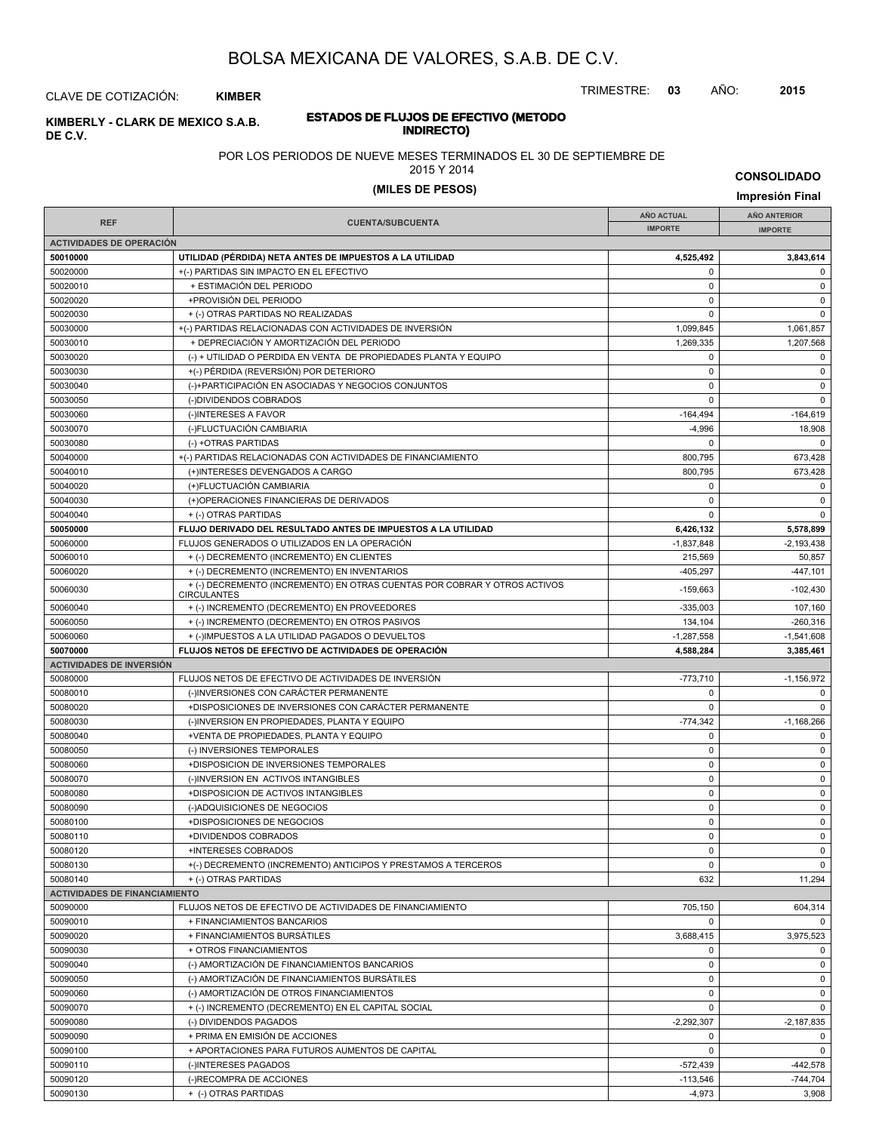TRIMESTRE: **03** AÑO: **2015**

CLAVE DE COTIZACIÓN: **KIMBER**

#### **INDIRECTO) KIMBERLY - CLARK DE MEXICO S.A.B. DE C.V.**

# **ESTADOS DE FLUJOS DE EFECTIVO (METODO**

## POR LOS PERIODOS DE NUEVE MESES TERMINADOS EL 30 DE SEPTIEMBRE DE

## 2015 Y 2014

# **(MILES DE PESOS) Impresión Final**

|                                      |                                                                                                 | <b>AÑO ACTUAL</b> | <b>AÑO ANTERIOR</b> |
|--------------------------------------|-------------------------------------------------------------------------------------------------|-------------------|---------------------|
| <b>REF</b>                           | <b>CUENTA/SUBCUENTA</b>                                                                         | <b>IMPORTE</b>    | <b>IMPORTE</b>      |
| <b>ACTIVIDADES DE OPERACIÓN</b>      |                                                                                                 |                   |                     |
| 50010000                             | UTILIDAD (PÉRDIDA) NETA ANTES DE IMPUESTOS A LA UTILIDAD                                        | 4,525,492         | 3,843,614           |
| 50020000                             | +(-) PARTIDAS SIN IMPACTO EN EL EFECTIVO                                                        | 0                 | 0                   |
| 50020010                             | + ESTIMACIÓN DEL PERIODO                                                                        | $\mathbf 0$       | $\mathbf 0$         |
| 50020020                             | +PROVISIÓN DEL PERIODO                                                                          | $\pmb{0}$         | 0                   |
| 50020030                             | + (-) OTRAS PARTIDAS NO REALIZADAS                                                              | $\Omega$          | $\pmb{0}$           |
| 50030000                             | +(-) PARTIDAS RELACIONADAS CON ACTIVIDADES DE INVERSIÓN                                         | 1,099,845         | 1,061,857           |
| 50030010                             | + DEPRECIACIÓN Y AMORTIZACIÓN DEL PERIODO                                                       | 1,269,335         | 1,207,568           |
| 50030020                             | (-) + UTILIDAD O PERDIDA EN VENTA DE PROPIEDADES PLANTA Y EQUIPO                                | 0                 | 0                   |
| 50030030                             | +(-) PÉRDIDA (REVERSIÓN) POR DETERIORO                                                          | $\mathbf 0$       | 0                   |
| 50030040                             | (-)+PARTICIPACIÓN EN ASOCIADAS Y NEGOCIOS CONJUNTOS                                             | $\pmb{0}$         | 0                   |
| 50030050                             | (-)DIVIDENDOS COBRADOS                                                                          | $\Omega$          | $\pmb{0}$           |
| 50030060                             | (-)INTERESES A FAVOR                                                                            | $-164,494$        | $-164,619$          |
| 50030070                             | (-)FLUCTUACIÓN CAMBIARIA                                                                        | $-4,996$          | 18,908              |
| 50030080                             | (-) +OTRAS PARTIDAS                                                                             | $\Omega$          | $\mathbf 0$         |
| 50040000                             | +(-) PARTIDAS RELACIONADAS CON ACTIVIDADES DE FINANCIAMIENTO                                    | 800,795           | 673,428             |
| 50040010                             | (+)INTERESES DEVENGADOS A CARGO                                                                 | 800,795           | 673,428             |
| 50040020                             | (+)FLUCTUACIÓN CAMBIARIA                                                                        | 0                 | $\mathbf 0$         |
| 50040030                             | (+)OPERACIONES FINANCIERAS DE DERIVADOS                                                         | $\mathbf 0$       | 0                   |
| 50040040                             | + (-) OTRAS PARTIDAS                                                                            | 0                 | $\mathbf 0$         |
| 50050000                             | FLUJO DERIVADO DEL RESULTADO ANTES DE IMPUESTOS A LA UTILIDAD                                   | 6,426,132         | 5,578,899           |
| 50060000                             | FLUJOS GENERADOS O UTILIZADOS EN LA OPERACIÓN                                                   | $-1,837,848$      | $-2,193,438$        |
| 50060010                             | + (-) DECREMENTO (INCREMENTO) EN CLIENTES                                                       | 215,569           | 50,857              |
| 50060020                             | + (-) DECREMENTO (INCREMENTO) EN INVENTARIOS                                                    | -405,297          | -447,101            |
| 50060030                             | + (-) DECREMENTO (INCREMENTO) EN OTRAS CUENTAS POR COBRAR Y OTROS ACTIVOS<br><b>CIRCULANTES</b> | $-159,663$        | $-102,430$          |
| 50060040                             | + (-) INCREMENTO (DECREMENTO) EN PROVEEDORES                                                    | $-335,003$        | 107,160             |
| 50060050                             | + (-) INCREMENTO (DECREMENTO) EN OTROS PASIVOS                                                  | 134,104           | $-260,316$          |
| 50060060                             | + (-)IMPUESTOS A LA UTILIDAD PAGADOS O DEVUELTOS                                                | $-1,287,558$      | $-1,541,608$        |
| 50070000                             | FLUJOS NETOS DE EFECTIVO DE ACTIVIDADES DE OPERACIÓN                                            | 4,588,284         | 3,385,461           |
| <b>ACTIVIDADES DE INVERSIÓN</b>      |                                                                                                 |                   |                     |
| 50080000                             | FLUJOS NETOS DE EFECTIVO DE ACTIVIDADES DE INVERSIÓN                                            | $-773,710$        | $-1,156,972$        |
| 50080010                             | (-)INVERSIONES CON CARÁCTER PERMANENTE                                                          | 0                 | 0                   |
| 50080020                             | +DISPOSICIONES DE INVERSIONES CON CARÁCTER PERMANENTE                                           | $\mathbf 0$       | $\mathbf 0$         |
| 50080030                             | (-)INVERSION EN PROPIEDADES, PLANTA Y EQUIPO                                                    | $-774,342$        | $-1,168,266$        |
| 50080040                             | +VENTA DE PROPIEDADES, PLANTA Y EQUIPO                                                          | $\mathbf 0$       | $\mathbf 0$         |
| 50080050                             | (-) INVERSIONES TEMPORALES                                                                      | $\pmb{0}$         | 0                   |
| 50080060                             | +DISPOSICION DE INVERSIONES TEMPORALES                                                          | 0                 | 0                   |
| 50080070                             | (-)INVERSION EN ACTIVOS INTANGIBLES                                                             | $\mathbf 0$       | $\pmb{0}$           |
| 50080080                             | +DISPOSICION DE ACTIVOS INTANGIBLES                                                             | 0                 | $\mathbf 0$         |
| 50080090                             | (-)ADQUISICIONES DE NEGOCIOS                                                                    | 0                 | $\mathsf 0$         |
| 50080100                             | +DISPOSICIONES DE NEGOCIOS                                                                      | 0                 | $\pmb{0}$           |
| 50080110                             | +DIVIDENDOS COBRADOS                                                                            | 0                 | $\mathbf 0$         |
| 50080120                             | +INTERESES COBRADOS                                                                             | 0                 | 0                   |
| 50080130                             | +(-) DECREMENTO (INCREMENTO) ANTICIPOS Y PRESTAMOS A TERCEROS                                   | $\mathbf 0$       | $\mathbf 0$         |
| 50080140                             | + (-) OTRAS PARTIDAS                                                                            | 632               | 11,294              |
| <b>ACTIVIDADES DE FINANCIAMIENTO</b> |                                                                                                 |                   |                     |
| 50090000                             | FLUJOS NETOS DE EFECTIVO DE ACTIVIDADES DE FINANCIAMIENTO                                       | 705,150           | 604,314             |
| 50090010                             | + FINANCIAMIENTOS BANCARIOS                                                                     | $\mathbf 0$       | $\Omega$            |
| 50090020                             | + FINANCIAMIENTOS BURSÁTILES                                                                    | 3,688,415         | 3,975,523           |
| 50090030                             | + OTROS FINANCIAMIENTOS                                                                         | $\mathbf 0$       | 0                   |
| 50090040                             | (-) AMORTIZACIÓN DE FINANCIAMIENTOS BANCARIOS                                                   | $\pmb{0}$         | $\mathbf 0$         |
| 50090050                             | (-) AMORTIZACIÓN DE FINANCIAMIENTOS BURSÁTILES                                                  | 0                 | $\mathbf 0$         |
| 50090060                             | (-) AMORTIZACIÓN DE OTROS FINANCIAMIENTOS                                                       | $\pmb{0}$         | $\mathbf 0$         |
| 50090070                             | + (-) INCREMENTO (DECREMENTO) EN EL CAPITAL SOCIAL                                              | $\mathbf 0$       | $\mathbf 0$         |
| 50090080                             | (-) DIVIDENDOS PAGADOS                                                                          | $-2,292,307$      | $-2,187,835$        |
| 50090090                             | + PRIMA EN EMISIÓN DE ACCIONES                                                                  | 0                 | 0                   |
| 50090100                             | + APORTACIONES PARA FUTUROS AUMENTOS DE CAPITAL                                                 | 0                 | $\mathbf 0$         |
| 50090110                             | (-)INTERESES PAGADOS                                                                            | $-572,439$        | -442,578            |
| 50090120                             | (-)RECOMPRA DE ACCIONES                                                                         | $-113,546$        | $-744,704$          |
| 50090130                             | + (-) OTRAS PARTIDAS                                                                            | $-4,973$          | 3,908               |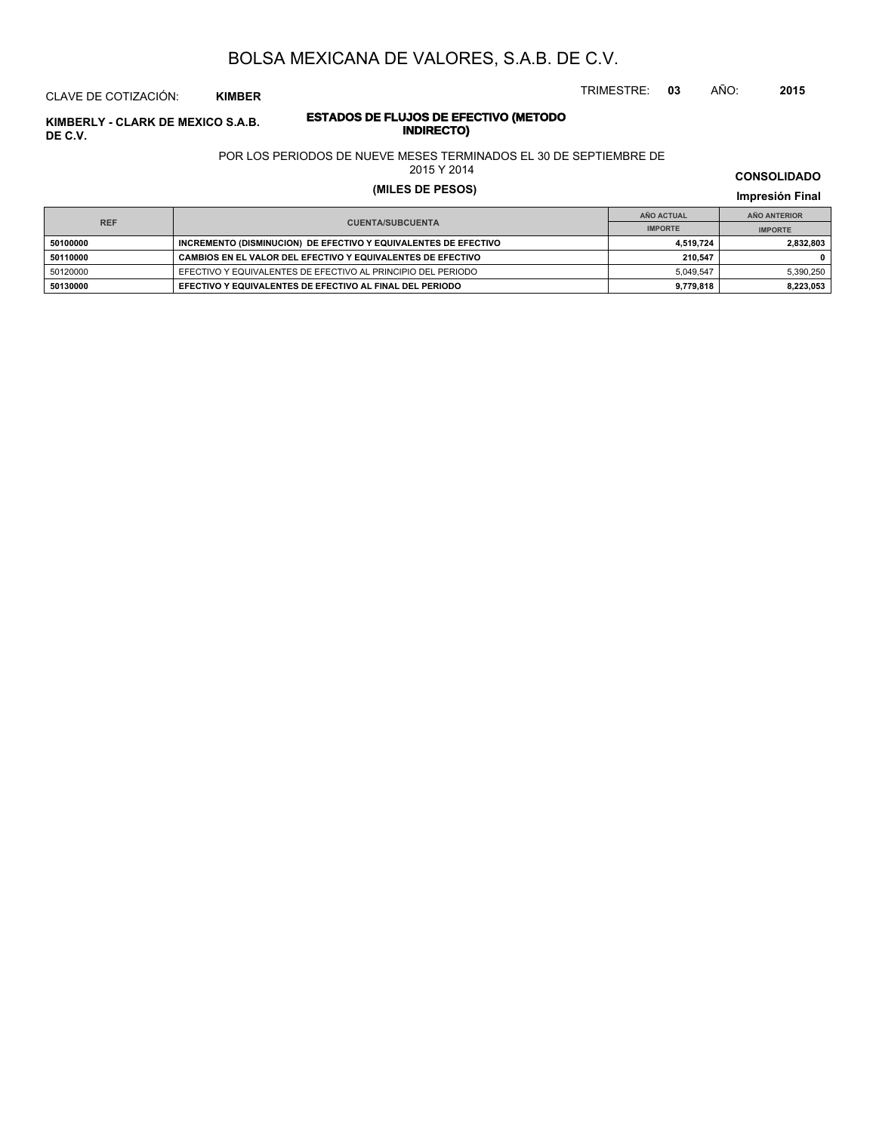TRIMESTRE: **03** AÑO: **2015**

# CLAVE DE COTIZACIÓN: **KIMBER**

# **ESTADOS DE FLUJOS DE EFECTIVO (METODO**

POR LOS PERIODOS DE NUEVE MESES TERMINADOS EL 30 DE SEPTIEMBRE DE

2015 Y 2014

# **(MILES DE PESOS) Impresión Final**

**CONSOLIDADO**

|                                       |                                                                 | AÑO ACTUAL     | AÑO ANTERIOR   |
|---------------------------------------|-----------------------------------------------------------------|----------------|----------------|
| <b>REF</b><br><b>CUENTA/SUBCUENTA</b> |                                                                 | <b>IMPORTE</b> | <b>IMPORTE</b> |
| 50100000                              | INCREMENTO (DISMINUCION) DE EFECTIVO Y EQUIVALENTES DE EFECTIVO | 4.519.724      | 2,832,803      |
| 50110000                              | CAMBIOS EN EL VALOR DEL EFECTIVO Y EQUIVALENTES DE EFECTIVO     | 210.547        |                |
| 50120000                              | EFECTIVO Y EQUIVALENTES DE EFECTIVO AL PRINCIPIO DEL PERIODO    | 5.049.547      | 5,390,250      |
| 50130000                              | EFECTIVO Y EQUIVALENTES DE EFECTIVO AL FINAL DEL PERIODO        | 9.779.818      | 8,223,053      |

**INDIRECTO) KIMBERLY - CLARK DE MEXICO S.A.B. DE C.V.**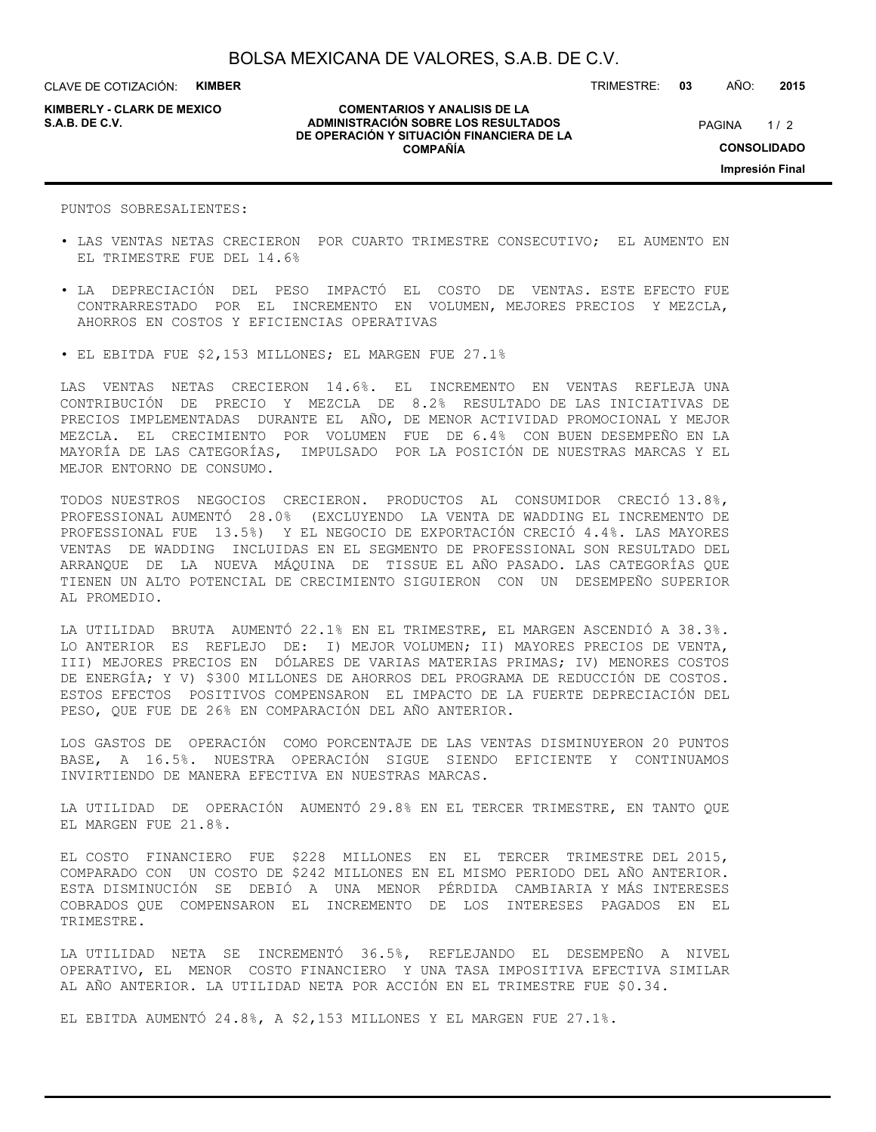CLAVE DE COTIZACIÓN: **KIMBER**

**KIMBERLY - CLARK DE MEXICO**

#### **COMENTARIOS Y ANALISIS DE LA ADMINISTRACIÓN SOBRE LOS RESULTADOS S.A.B. DE C.V.** PAGINA / 2 **DE OPERACIÓN Y SITUACIÓN FINANCIERA DE LA COMPAÑÍA**

PAGINA 1/2 **CONSOLIDADO Impresión Final**

PUNTOS SOBRESALIENTES:

- LAS VENTAS NETAS CRECIERON POR CUARTO TRIMESTRE CONSECUTIVO; EL AUMENTO EN EL TRIMESTRE FUE DEL 14.6%
- LA DEPRECIACIÓN DEL PESO IMPACTÓ EL COSTO DE VENTAS. ESTE EFECTO FUE CONTRARRESTADO POR EL INCREMENTO EN VOLUMEN, MEJORES PRECIOS Y MEZCLA, AHORROS EN COSTOS Y EFICIENCIAS OPERATIVAS
- EL EBITDA FUE \$2,153 MILLONES; EL MARGEN FUE 27.1%

LAS VENTAS NETAS CRECIERON 14.6%. EL INCREMENTO EN VENTAS REFLEJA UNA CONTRIBUCIÓN DE PRECIO Y MEZCLA DE 8.2% RESULTADO DE LAS INICIATIVAS DE PRECIOS IMPLEMENTADAS DURANTE EL AÑO, DE MENOR ACTIVIDAD PROMOCIONAL Y MEJOR MEZCLA. EL CRECIMIENTO POR VOLUMEN FUE DE 6.4% CON BUEN DESEMPEÑO EN LA MAYORÍA DE LAS CATEGORÍAS, IMPULSADO POR LA POSICIÓN DE NUESTRAS MARCAS Y EL MEJOR ENTORNO DE CONSUMO.

TODOS NUESTROS NEGOCIOS CRECIERON. PRODUCTOS AL CONSUMIDOR CRECIÓ 13.8%, PROFESSIONAL AUMENTÓ 28.0% (EXCLUYENDO LA VENTA DE WADDING EL INCREMENTO DE PROFESSIONAL FUE 13.5%) Y EL NEGOCIO DE EXPORTACIÓN CRECIÓ 4.4%. LAS MAYORES VENTAS DE WADDING INCLUIDAS EN EL SEGMENTO DE PROFESSIONAL SON RESULTADO DEL ARRANQUE DE LA NUEVA MÁQUINA DE TISSUE EL AÑO PASADO. LAS CATEGORÍAS QUE TIENEN UN ALTO POTENCIAL DE CRECIMIENTO SIGUIERON CON UN DESEMPEÑO SUPERIOR AL PROMEDIO.

LA UTILIDAD BRUTA AUMENTÓ 22.1% EN EL TRIMESTRE, EL MARGEN ASCENDIÓ A 38.3%. LO ANTERIOR ES REFLEJO DE: I) MEJOR VOLUMEN; II) MAYORES PRECIOS DE VENTA, III) MEJORES PRECIOS EN DÓLARES DE VARIAS MATERIAS PRIMAS; IV) MENORES COSTOS DE ENERGÍA; Y V) \$300 MILLONES DE AHORROS DEL PROGRAMA DE REDUCCIÓN DE COSTOS. ESTOS EFECTOS POSITIVOS COMPENSARON EL IMPACTO DE LA FUERTE DEPRECIACIÓN DEL PESO, QUE FUE DE 26% EN COMPARACIÓN DEL AÑO ANTERIOR.

LOS GASTOS DE OPERACIÓN COMO PORCENTAJE DE LAS VENTAS DISMINUYERON 20 PUNTOS BASE, A 16.5%. NUESTRA OPERACIÓN SIGUE SIENDO EFICIENTE Y CONTINUAMOS INVIRTIENDO DE MANERA EFECTIVA EN NUESTRAS MARCAS.

LA UTILIDAD DE OPERACIÓN AUMENTÓ 29.8% EN EL TERCER TRIMESTRE, EN TANTO QUE EL MARGEN FUE 21.8%.

EL COSTO FINANCIERO FUE \$228 MILLONES EN EL TERCER TRIMESTRE DEL 2015, COMPARADO CON UN COSTO DE \$242 MILLONES EN EL MISMO PERIODO DEL AÑO ANTERIOR. ESTA DISMINUCIÓN SE DEBIÓ A UNA MENOR PÉRDIDA CAMBIARIA Y MÁS INTERESES COBRADOS QUE COMPENSARON EL INCREMENTO DE LOS INTERESES PAGADOS EN EL TRIMESTRE.

LA UTILIDAD NETA SE INCREMENTÓ 36.5%, REFLEJANDO EL DESEMPEÑO A NIVEL OPERATIVO, EL MENOR COSTO FINANCIERO Y UNA TASA IMPOSITIVA EFECTIVA SIMILAR AL AÑO ANTERIOR. LA UTILIDAD NETA POR ACCIÓN EN EL TRIMESTRE FUE \$0.34.

EL EBITDA AUMENTÓ 24.8%, A \$2,153 MILLONES Y EL MARGEN FUE 27.1%.

TRIMESTRE: **03** AÑO: **2015**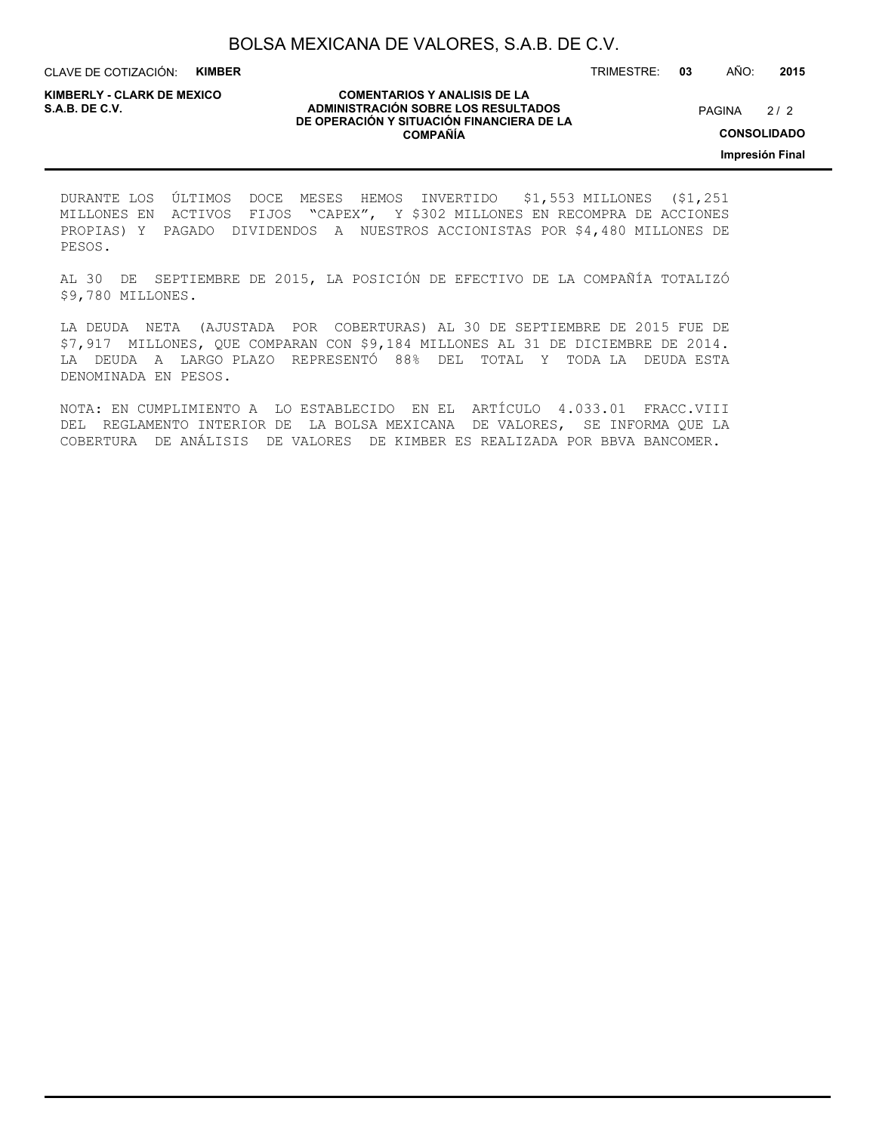CLAVE DE COTIZACIÓN: **KIMBER**

**KIMBERLY - CLARK DE MEXICO**

#### **COMENTARIOS Y ANALISIS DE LA ADMINISTRACIÓN SOBRE LOS RESULTADOS S.A.B. DE C.V.** PAGINA / 2 **DE OPERACIÓN Y SITUACIÓN FINANCIERA DE LA COMPAÑÍA**

TRIMESTRE: **03** AÑO: **2015**

**CONSOLIDADO**

**Impresión Final**

DURANTE LOS ÚLTIMOS DOCE MESES HEMOS INVERTIDO \$1,553 MILLONES (\$1,251 MILLONES EN ACTIVOS FIJOS "CAPEX", Y \$302 MILLONES EN RECOMPRA DE ACCIONES PROPIAS) Y PAGADO DIVIDENDOS A NUESTROS ACCIONISTAS POR \$4,480 MILLONES DE PESOS.

AL 30 DE SEPTIEMBRE DE 2015, LA POSICIÓN DE EFECTIVO DE LA COMPAÑÍA TOTALIZÓ \$9,780 MILLONES.

LA DEUDA NETA (AJUSTADA POR COBERTURAS) AL 30 DE SEPTIEMBRE DE 2015 FUE DE \$7,917 MILLONES, QUE COMPARAN CON \$9,184 MILLONES AL 31 DE DICIEMBRE DE 2014. LA DEUDA A LARGO PLAZO REPRESENTÓ 88% DEL TOTAL Y TODA LA DEUDA ESTA DENOMINADA EN PESOS.

NOTA: EN CUMPLIMIENTO A LO ESTABLECIDO EN EL ARTÍCULO 4.033.01 FRACC.VIII DEL REGLAMENTO INTERIOR DE LA BOLSA MEXICANA DE VALORES, SE INFORMA QUE LA COBERTURA DE ANÁLISIS DE VALORES DE KIMBER ES REALIZADA POR BBVA BANCOMER.

 $2/2$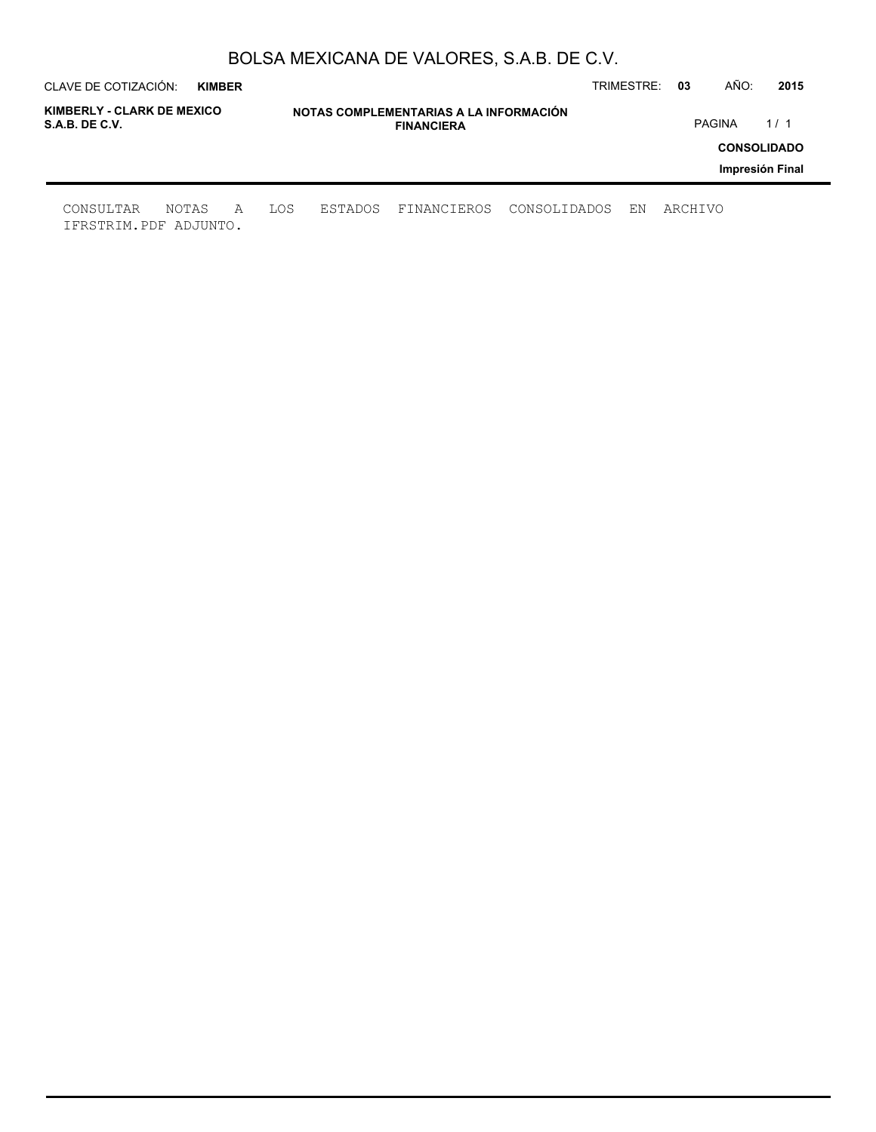| CLAVE DE COTIZACIÓN:                         | <b>KIMBER</b> |   |     |         |                                                             |              | TRIMESTRE: | -03     | AÑO:          | 2015               |
|----------------------------------------------|---------------|---|-----|---------|-------------------------------------------------------------|--------------|------------|---------|---------------|--------------------|
| KIMBERLY - CLARK DE MEXICO<br>S.A.B. DE C.V. |               |   |     |         | NOTAS COMPLEMENTARIAS A LA INFORMACIÓN<br><b>FINANCIERA</b> |              |            |         | <b>PAGINA</b> | 1/1                |
|                                              |               |   |     |         |                                                             |              |            |         |               | <b>CONSOLIDADO</b> |
|                                              |               |   |     |         |                                                             |              |            |         |               | Impresión Final    |
| CONSULTAR<br>IFRSTRIM.PDF ADJUNTO.           | NOTAS         | A | LOS | ESTADOS | FINANCIEROS                                                 | CONSOLIDADOS | ΕN         | ARCHIVO |               |                    |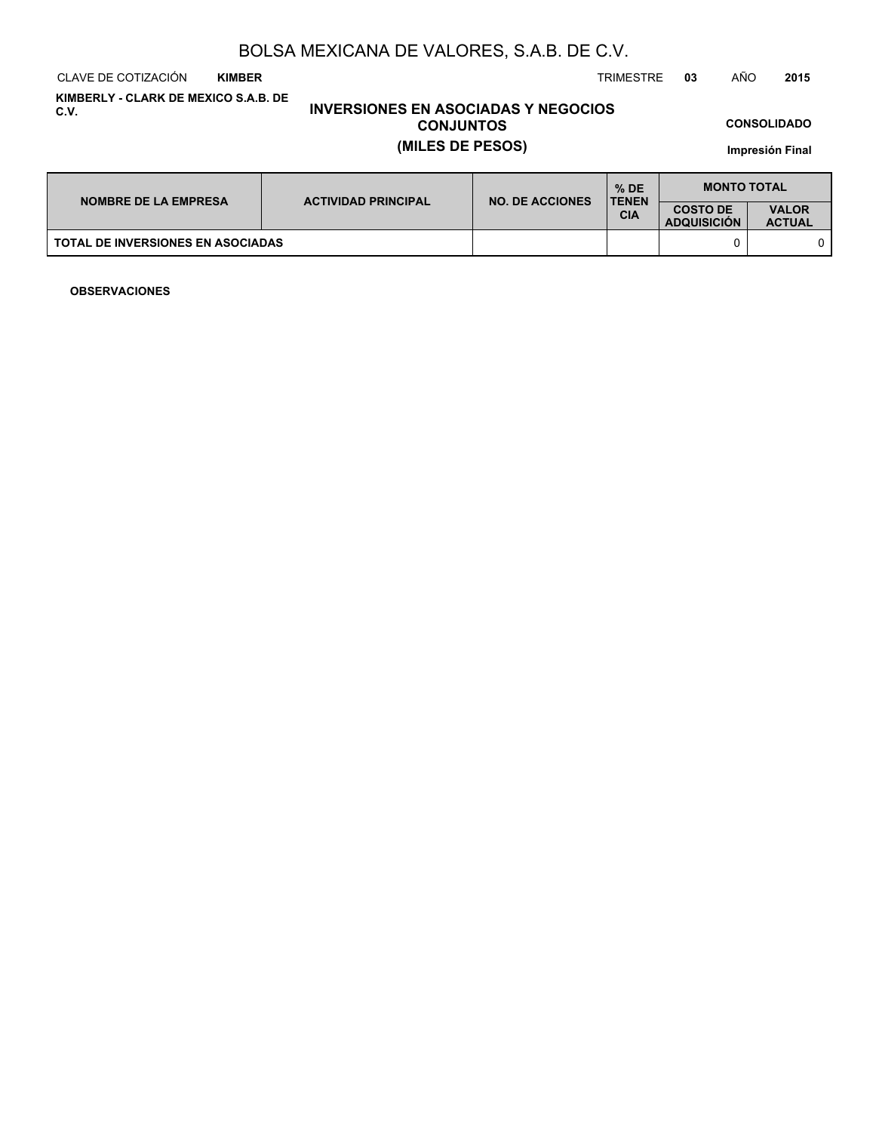CLAVE DE COTIZACIÓN TRIMESTRE **03** AÑO **2015 KIMBER**

**KIMBERLY - CLARK DE MEXICO S.A.B. DE C.V.**

## **INVERSIONES EN ASOCIADAS Y NEGOCIOS CONJUNTOS (MILES DE PESOS)**

**CONSOLIDADO**

**Impresión Final**

| <b>NOMBRE DE LA EMPRESA</b>              | <b>ACTIVIDAD PRINCIPAL</b> | <b>NO. DE ACCIONES</b> | $%$ DE<br><b>TENEN</b>                | <b>MONTO TOTAL</b>            |  |
|------------------------------------------|----------------------------|------------------------|---------------------------------------|-------------------------------|--|
|                                          |                            |                        | <b>COSTO DE</b><br><b>ADQUISICION</b> | <b>VALOR</b><br><b>ACTUAL</b> |  |
| <b>TOTAL DE INVERSIONES EN ASOCIADAS</b> |                            |                        |                                       |                               |  |

**OBSERVACIONES**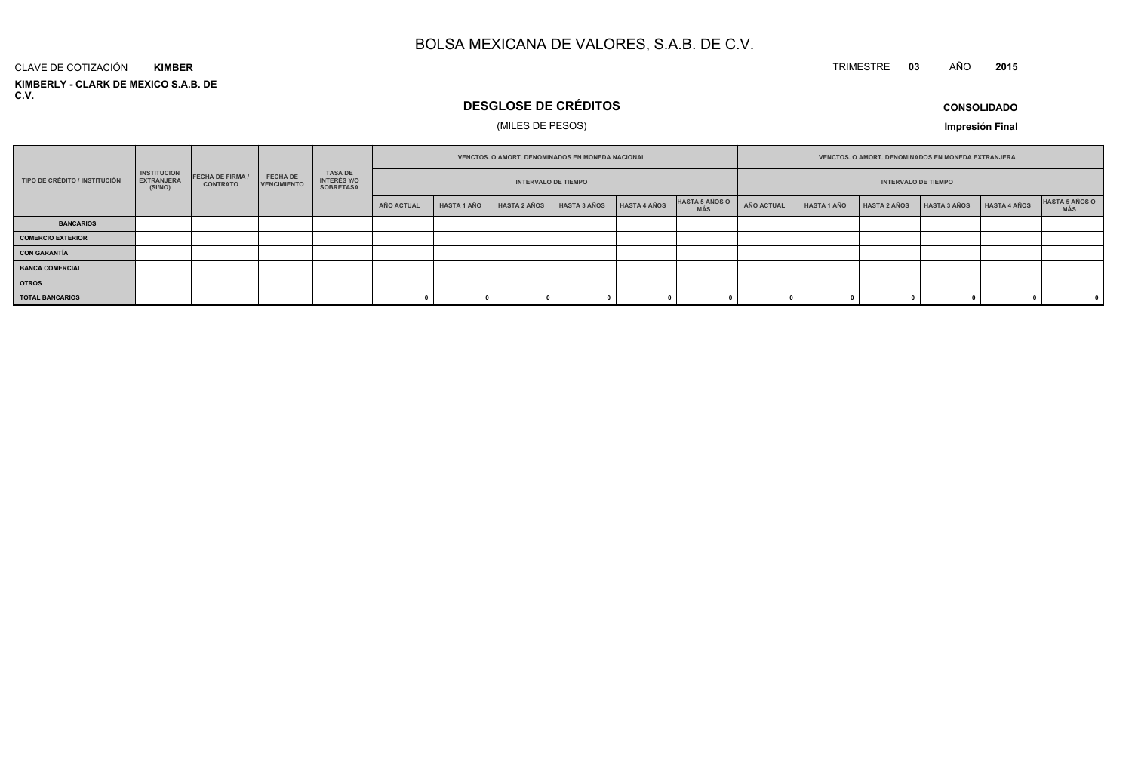#### TRIMESTRE **<sup>03</sup>** AÑO**<sup>2015</sup>**

**KIMBERLY - CLARK DE MEXICO S.A.B. DE C.V.**CLAVE DE COTIZACIÓN**KIMBER**

# **DESGLOSE DE CRÉDITOS**

## (MILES DE PESOS)

**CONSOLIDADO**

**Impresión Final**

|                               |                                                    |                                          |                                       |                                                          |            |                            | VENCTOS, O AMORT, DENOMINADOS EN MONEDA NACIONAL |                     |              |                              |            | <b>VENCTOS, O AMORT, DENOMINADOS EN MONEDA EXTRANJERA</b> |                     |              |              |                         |  |
|-------------------------------|----------------------------------------------------|------------------------------------------|---------------------------------------|----------------------------------------------------------|------------|----------------------------|--------------------------------------------------|---------------------|--------------|------------------------------|------------|-----------------------------------------------------------|---------------------|--------------|--------------|-------------------------|--|
| TIPO DE CRÉDITO / INSTITUCIÓN | <b>INSTITUCION</b><br><b>EXTRANJERA</b><br>(SI/NO) | <b>FECHA DE FIRMA</b><br><b>CONTRATO</b> | <b>FECHA DE</b><br><b>VENCIMIENTO</b> | <b>TASA DE</b><br><b>INTERÉS Y/O</b><br><b>SOBRETASA</b> |            | <b>INTERVALO DE TIEMPO</b> |                                                  |                     |              | <b>INTERVALO DE TIEMPO</b>   |            |                                                           |                     |              |              |                         |  |
|                               |                                                    |                                          |                                       |                                                          | AÑO ACTUAL | <b>HASTA 1 AÑO</b>         | <b>HASTA 2 AÑOS</b>                              | <b>HASTA 3 AÑOS</b> | HASTA 4 AÑOS | HASTA 5 AÑOS O<br><b>MÁS</b> | AÑO ACTUAL | <b>HASTA 1 AÑO</b>                                        | <b>HASTA 2 AÑOS</b> | HASTA 3 AÑOS | HASTA 4 AÑOS | HASTA 5 AÑOS O<br>MÁS   |  |
| <b>BANCARIOS</b>              |                                                    |                                          |                                       |                                                          |            |                            |                                                  |                     |              |                              |            |                                                           |                     |              |              |                         |  |
| <b>COMERCIO EXTERIOR</b>      |                                                    |                                          |                                       |                                                          |            |                            |                                                  |                     |              |                              |            |                                                           |                     |              |              |                         |  |
| <b>CON GARANTÍA</b>           |                                                    |                                          |                                       |                                                          |            |                            |                                                  |                     |              |                              |            |                                                           |                     |              |              |                         |  |
| <b>BANCA COMERCIAL</b>        |                                                    |                                          |                                       |                                                          |            |                            |                                                  |                     |              |                              |            |                                                           |                     |              |              |                         |  |
| <b>OTROS</b>                  |                                                    |                                          |                                       |                                                          |            |                            |                                                  |                     |              |                              |            |                                                           |                     |              |              |                         |  |
| <b>TOTAL BANCARIOS</b>        |                                                    |                                          |                                       |                                                          |            |                            |                                                  |                     |              |                              |            |                                                           |                     |              |              | $\overline{\mathbf{0}}$ |  |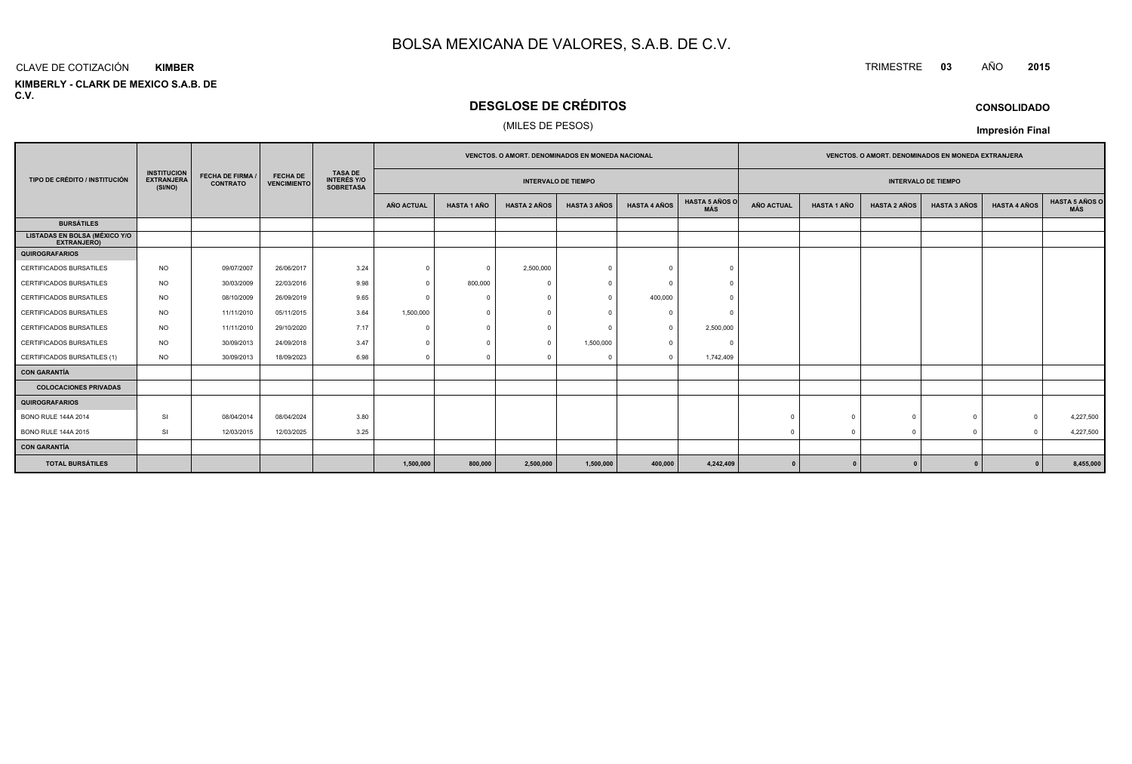#### CLAVE DE COTIZACIÓN**KIMBER**

**KIMBERLY - CLARK DE MEXICO S.A.B. DE C.V.**

# **DESGLOSE DE CRÉDITOS**

## (MILES DE PESOS)

|                                                            |                                                    | <b>FECHA DE FIRMA /</b><br><b>CONTRATO</b> |                                       |                                                          | <b>VENCTOS, O AMORT, DENOMINADOS EN MONEDA NACIONAL</b> |                    |                     |                     |                     |                              |                   |                    | <b>VENCTOS, O AMORT, DENOMINADOS EN MONEDA EXTRANJERA</b> |                            |                     |                              |
|------------------------------------------------------------|----------------------------------------------------|--------------------------------------------|---------------------------------------|----------------------------------------------------------|---------------------------------------------------------|--------------------|---------------------|---------------------|---------------------|------------------------------|-------------------|--------------------|-----------------------------------------------------------|----------------------------|---------------------|------------------------------|
| TIPO DE CRÉDITO / INSTITUCIÓN                              | <b>INSTITUCION</b><br><b>EXTRANJERA</b><br>(SI/NO) |                                            | <b>FECHA DE</b><br><b>VENCIMIENTO</b> | <b>TASA DE</b><br><b>INTERÉS Y/O</b><br><b>SOBRETASA</b> | <b>INTERVALO DE TIEMPO</b>                              |                    |                     |                     |                     |                              |                   |                    |                                                           | <b>INTERVALO DE TIEMPO</b> |                     |                              |
|                                                            |                                                    |                                            |                                       |                                                          | AÑO ACTUAL                                              | <b>HASTA 1 AÑO</b> | <b>HASTA 2 AÑOS</b> | <b>HASTA 3 AÑOS</b> | <b>HASTA 4 AÑOS</b> | <b>HASTA 5 AÑOS O</b><br>MÁS | <b>AÑO ACTUAL</b> | <b>HASTA 1 AÑO</b> | <b>HASTA 2 AÑOS</b>                                       | <b>HASTA 3 AÑOS</b>        | <b>HASTA 4 AÑOS</b> | <b>HASTA 5 AÑOS C</b><br>MÁS |
| <b>BURSÁTILES</b>                                          |                                                    |                                            |                                       |                                                          |                                                         |                    |                     |                     |                     |                              |                   |                    |                                                           |                            |                     |                              |
| <b>LISTADAS EN BOLSA (MÉXICO Y/O</b><br><b>EXTRANJERO)</b> |                                                    |                                            |                                       |                                                          |                                                         |                    |                     |                     |                     |                              |                   |                    |                                                           |                            |                     |                              |
| <b>QUIROGRAFARIOS</b>                                      |                                                    |                                            |                                       |                                                          |                                                         |                    |                     |                     |                     |                              |                   |                    |                                                           |                            |                     |                              |
| CERTIFICADOS BURSATILES                                    | <b>NO</b>                                          | 09/07/2007                                 | 26/06/2017                            | 3.24                                                     | $\Omega$                                                | $\Omega$           | 2,500,000           |                     | $\Omega$            | $\Omega$                     |                   |                    |                                                           |                            |                     |                              |
| <b>CERTIFICADOS BURSATILES</b>                             | <b>NO</b>                                          | 30/03/2009                                 | 22/03/2016                            | 9.98                                                     | $\Omega$                                                | 800,000            | $\bigcap$           |                     |                     |                              |                   |                    |                                                           |                            |                     |                              |
| <b>CERTIFICADOS BURSATILES</b>                             | NO.                                                | 08/10/2009                                 | 26/09/2019                            | 9.65                                                     | $\sqrt{ }$                                              |                    | $\cap$              |                     | 400,000             |                              |                   |                    |                                                           |                            |                     |                              |
| <b>CERTIFICADOS BURSATILES</b>                             | <b>NO</b>                                          | 11/11/2010                                 | 05/11/2015                            | 3.64                                                     | 1,500,000                                               | $\Omega$           |                     |                     | $\Omega$            |                              |                   |                    |                                                           |                            |                     |                              |
| CERTIFICADOS BURSATILES                                    | <b>NO</b>                                          | 11/11/2010                                 | 29/10/2020                            | 7.17                                                     | $\Omega$                                                |                    | $\Omega$            |                     | $\Omega$            | 2,500,000                    |                   |                    |                                                           |                            |                     |                              |
| CERTIFICADOS BURSATILES                                    | <b>NO</b>                                          | 30/09/2013                                 | 24/09/2018                            | 3.47                                                     | $\Omega$                                                |                    | $\Omega$            | 1,500,000           | $\Omega$            | $\Omega$                     |                   |                    |                                                           |                            |                     |                              |
| CERTIFICADOS BURSATILES (1)                                | <b>NO</b>                                          | 30/09/2013                                 | 18/09/2023                            | 6.98                                                     | $\Omega$                                                | $\Omega$           | $\Omega$            |                     | $\Omega$            | 1,742,409                    |                   |                    |                                                           |                            |                     |                              |
| <b>CON GARANTÍA</b>                                        |                                                    |                                            |                                       |                                                          |                                                         |                    |                     |                     |                     |                              |                   |                    |                                                           |                            |                     |                              |
| <b>COLOCACIONES PRIVADAS</b>                               |                                                    |                                            |                                       |                                                          |                                                         |                    |                     |                     |                     |                              |                   |                    |                                                           |                            |                     |                              |
| <b>QUIROGRAFARIOS</b>                                      |                                                    |                                            |                                       |                                                          |                                                         |                    |                     |                     |                     |                              |                   |                    |                                                           |                            |                     |                              |
| <b>BONO RULE 144A 2014</b>                                 | <b>SI</b>                                          | 08/04/2014                                 | 08/04/2024                            | 3.80                                                     |                                                         |                    |                     |                     |                     |                              |                   | $\sqrt{ }$         |                                                           | $\mathbf{0}$               | $\overline{0}$      | 4,227,500                    |
| <b>BONO RULE 144A 2015</b>                                 | SI                                                 | 12/03/2015                                 | 12/03/2025                            | 3.25                                                     |                                                         |                    |                     |                     |                     |                              |                   |                    |                                                           | $\Omega$                   | $\Omega$            | 4,227,500                    |
| <b>CON GARANTÍA</b>                                        |                                                    |                                            |                                       |                                                          |                                                         |                    |                     |                     |                     |                              |                   |                    |                                                           |                            |                     |                              |
| <b>TOTAL BURSÁTILES</b>                                    |                                                    |                                            |                                       |                                                          | 1,500,000                                               | 800,000            | 2,500,000           | 1,500,000           | 400,000             | 4,242,409                    | $\mathbf{0}$      |                    |                                                           |                            |                     | 8,455,000                    |

**CONSOLIDADO**

**Impresión Final**

TRIMESTRE **<sup>03</sup>** AÑO **<sup>2015</sup>**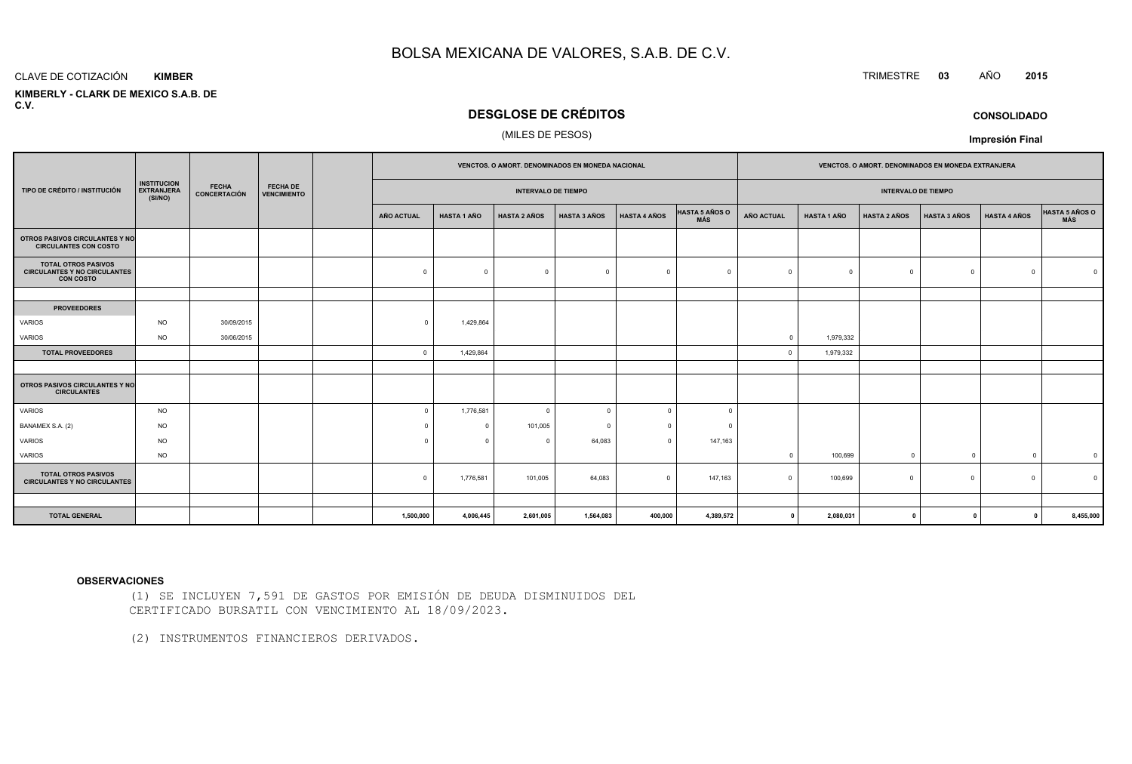#### CLAVE DE COTIZACIÓN**KIMBER**

 **KIMBERLY - CLARK DE MEXICO S.A.B. DEC.V.**

## **DESGLOSE DE CRÉDITOS**

## (MILES DE PESOS)

|                                                                                       |                                                    |                              |                                       |                   |                    | VENCTOS. O AMORT. DENOMINADOS EN MONEDA NACIONAL |                     |                     |                              | VENCTOS. O AMORT. DENOMINADOS EN MONEDA EXTRANJERA |                    |                     |                     |                     |                              |  |
|---------------------------------------------------------------------------------------|----------------------------------------------------|------------------------------|---------------------------------------|-------------------|--------------------|--------------------------------------------------|---------------------|---------------------|------------------------------|----------------------------------------------------|--------------------|---------------------|---------------------|---------------------|------------------------------|--|
| TIPO DE CRÉDITO / INSTITUCIÓN                                                         | <b>INSTITUCION</b><br><b>EXTRANJERA</b><br>(SI/NO) | <b>FECHA</b><br>CONCERTACIÓN | <b>FECHA DE</b><br><b>VENCIMIENTO</b> |                   |                    | <b>INTERVALO DE TIEMPO</b>                       |                     |                     |                              | <b>INTERVALO DE TIEMPO</b>                         |                    |                     |                     |                     |                              |  |
|                                                                                       |                                                    |                              |                                       | <b>AÑO ACTUAL</b> | <b>HASTA 1 AÑO</b> | <b>HASTA 2 AÑOS</b>                              | <b>HASTA 3 AÑOS</b> | <b>HASTA 4 AÑOS</b> | <b>HASTA 5 AÑOS O</b><br>MÁS | AÑO ACTUAL                                         | <b>HASTA 1 AÑO</b> | <b>HASTA 2 AÑOS</b> | <b>HASTA 3 AÑOS</b> | <b>HASTA 4 AÑOS</b> | <b>HASTA 5 AÑOS O</b><br>MÁS |  |
| OTROS PASIVOS CIRCULANTES Y NO<br><b>CIRCULANTES CON COSTO</b>                        |                                                    |                              |                                       |                   |                    |                                                  |                     |                     |                              |                                                    |                    |                     |                     |                     |                              |  |
| <b>TOTAL OTROS PASIVOS</b><br><b>CIRCULANTES Y NO CIRCULANTES</b><br><b>CON COSTO</b> |                                                    |                              |                                       | $\mathbf 0$       | $\Omega$           | $\mathbf 0$                                      | $\overline{0}$      | $\Omega$            | $\Omega$                     |                                                    | $\overline{0}$     | $\Omega$            | $\circ$             | $\Omega$            |                              |  |
|                                                                                       |                                                    |                              |                                       |                   |                    |                                                  |                     |                     |                              |                                                    |                    |                     |                     |                     |                              |  |
| <b>PROVEEDORES</b>                                                                    |                                                    |                              |                                       |                   |                    |                                                  |                     |                     |                              |                                                    |                    |                     |                     |                     |                              |  |
| VARIOS                                                                                | <b>NO</b>                                          | 30/09/2015                   |                                       | $\Omega$          | 1,429,864          |                                                  |                     |                     |                              |                                                    |                    |                     |                     |                     |                              |  |
| VARIOS                                                                                | <b>NO</b>                                          | 30/06/2015                   |                                       |                   |                    |                                                  |                     |                     |                              |                                                    | 1,979,332          |                     |                     |                     |                              |  |
| <b>TOTAL PROVEEDORES</b>                                                              |                                                    |                              |                                       | $\Omega$          | 1,429,864          |                                                  |                     |                     |                              | $\Omega$                                           | 1,979,332          |                     |                     |                     |                              |  |
|                                                                                       |                                                    |                              |                                       |                   |                    |                                                  |                     |                     |                              |                                                    |                    |                     |                     |                     |                              |  |
| <b>OTROS PASIVOS CIRCULANTES Y NO</b><br><b>CIRCULANTES</b>                           |                                                    |                              |                                       |                   |                    |                                                  |                     |                     |                              |                                                    |                    |                     |                     |                     |                              |  |
| VARIOS                                                                                | <b>NO</b>                                          |                              |                                       | $\Omega$          | 1,776,581          | $\mathbf 0$                                      | $\Omega$            | $\Omega$            | $\Omega$                     |                                                    |                    |                     |                     |                     |                              |  |
| BANAMEX S.A. (2)                                                                      | <b>NO</b>                                          |                              |                                       | $\Omega$          | 0                  | 101,005                                          | $\Omega$            | $\Omega$            | $\Omega$                     |                                                    |                    |                     |                     |                     |                              |  |
| VARIOS                                                                                | <b>NO</b>                                          |                              |                                       |                   | $\Omega$           | $\mathbf 0$                                      | 64,083              | $\Omega$            | 147,163                      |                                                    |                    |                     |                     |                     |                              |  |
| VARIOS                                                                                | <b>NO</b>                                          |                              |                                       |                   |                    |                                                  |                     |                     |                              |                                                    | 100,699            | $^{\circ}$          | $\overline{0}$      | $\Omega$            | $\overline{0}$               |  |
| <b>TOTAL OTROS PASIVOS</b><br><b>CIRCULANTES Y NO CIRCULANTES</b>                     |                                                    |                              |                                       | $\mathbf{0}$      | 1,776,581          | 101,005                                          | 64,083              | $\mathbf{0}$        | 147,163                      | $\cap$                                             | 100,699            | $\Omega$            | $\circ$             | $\Omega$            | $\Omega$                     |  |
|                                                                                       |                                                    |                              |                                       |                   |                    |                                                  |                     |                     |                              |                                                    |                    |                     |                     |                     |                              |  |
| <b>TOTAL GENERAL</b>                                                                  |                                                    |                              |                                       | 1,500,000         | 4,006,445          | 2,601,005                                        | 1,564,083           | 400,000             | 4,389,572                    | $\mathbf 0$                                        | 2,080,031          | 0                   | $\Omega$            | $\mathbf{0}$        | 8,455,000                    |  |

#### **OBSERVACIONES**

(1) SE INCLUYEN 7,591 DE GASTOS POR EMISIÓN DE DEUDA DISMINUIDOS DELCERTIFICADO BURSATIL CON VENCIMIENTO AL 18/09/2023.

(2) INSTRUMENTOS FINANCIEROS DERIVADOS.

TRIMESTRE **<sup>03</sup>** AÑO **<sup>2015</sup>**

**CONSOLIDADO**

**Impresión Final**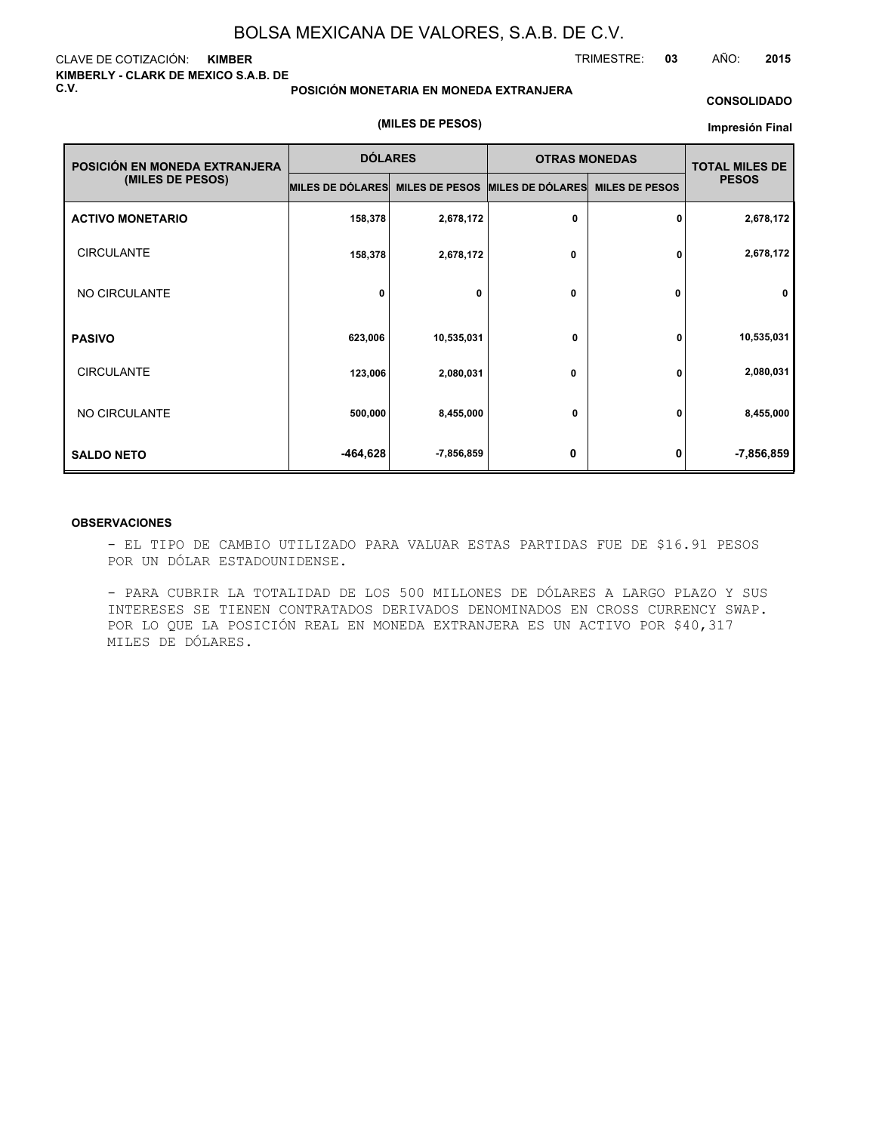#### CLAVE DE COTIZACIÓN: **KIMBER KIMBERLY - CLARK DE MEXICO S.A.B. DE C.V.**

#### **POSICIÓN MONETARIA EN MONEDA EXTRANJERA**

#### **CONSOLIDADO**

TRIMESTRE: **03** AÑO: **2015**

#### **(MILES DE PESOS)**

#### **Impresión Final**

| POSICIÓN EN MONEDA EXTRANJERA | <b>DÓLARES</b>   |                       | <b>OTRAS MONEDAS</b> | <b>TOTAL MILES DE</b> |              |
|-------------------------------|------------------|-----------------------|----------------------|-----------------------|--------------|
| (MILES DE PESOS)              | MILES DE DÓLARES | <b>MILES DE PESOS</b> | MILES DE DÓLARES     | <b>MILES DE PESOS</b> | <b>PESOS</b> |
| <b>ACTIVO MONETARIO</b>       | 158,378          | 2,678,172             | 0                    | 0                     | 2,678,172    |
| <b>CIRCULANTE</b>             | 158,378          | 2,678,172             | 0                    | 0                     | 2,678,172    |
| NO CIRCULANTE                 | 0                | 0                     | 0                    | 0                     | $\mathbf 0$  |
| <b>PASIVO</b>                 | 623,006          | 10,535,031            | 0                    | 0                     | 10,535,031   |
| <b>CIRCULANTE</b>             | 123,006          | 2,080,031             | 0                    | 0                     | 2,080,031    |
| NO CIRCULANTE                 | 500,000          | 8,455,000             | 0                    | 0                     | 8,455,000    |
| <b>SALDO NETO</b>             | -464,628         | -7,856,859            | 0                    | 0                     | $-7,856,859$ |

#### **OBSERVACIONES**

- EL TIPO DE CAMBIO UTILIZADO PARA VALUAR ESTAS PARTIDAS FUE DE \$16.91 PESOS POR UN DÓLAR ESTADOUNIDENSE.

- PARA CUBRIR LA TOTALIDAD DE LOS 500 MILLONES DE DÓLARES A LARGO PLAZO Y SUS INTERESES SE TIENEN CONTRATADOS DERIVADOS DENOMINADOS EN CROSS CURRENCY SWAP. POR LO QUE LA POSICIÓN REAL EN MONEDA EXTRANJERA ES UN ACTIVO POR \$40,317 MILES DE DÓLARES.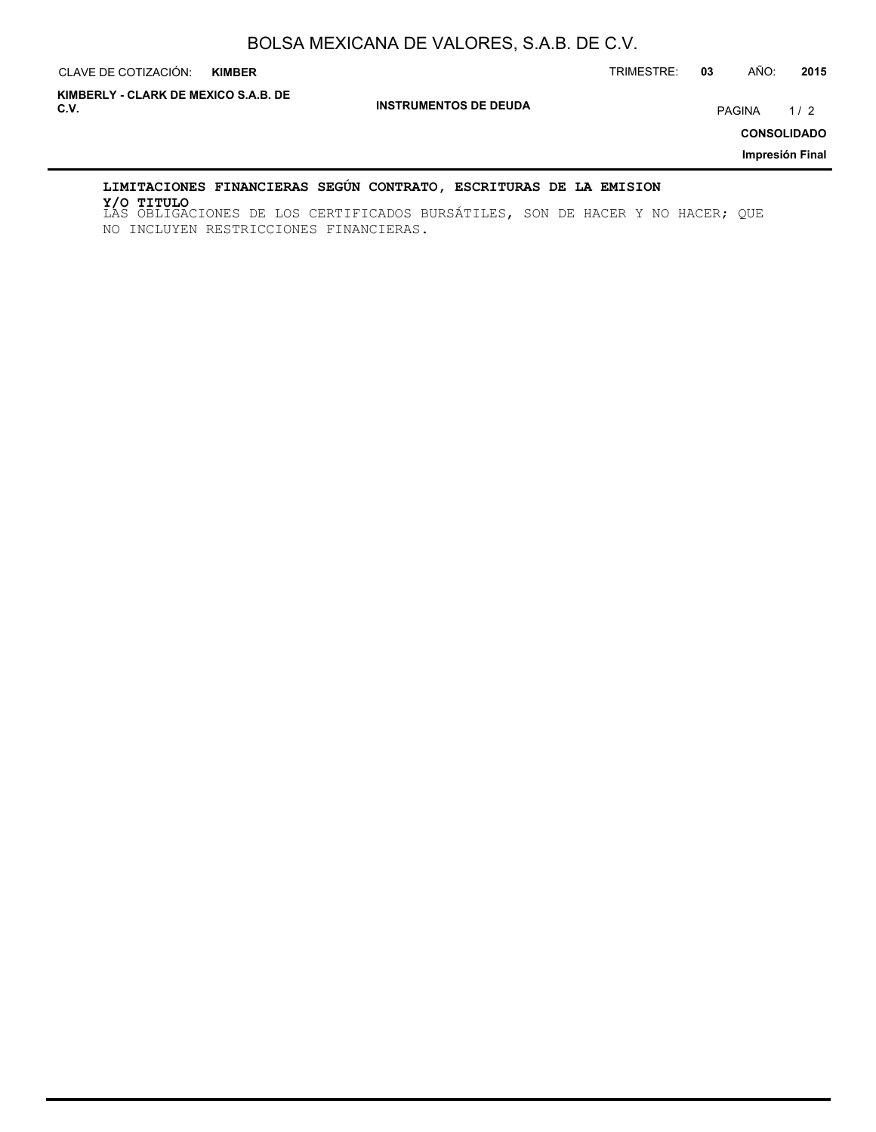**CLAVE DE COTIZACIÓN: KIMBER** 

CLAVE DE COTIZACIÓN: TRIMESTRE: **03** AÑO: **2015**

**INSTRUMENTOS DE DEUDA C.V.** PAGINA 1 / 2 **KIMBERLY - CLARK DE MEXICO S.A.B. DE**

**CONSOLIDADO**

**Impresión Final**

## **LIMITACIONES FINANCIERAS SEGÚN CONTRATO, ESCRITURAS DE LA EMISION**

LAS OBLIGACIONES DE LOS CERTIFICADOS BURSÁTILES, SON DE HACER Y NO HACER; QUE **Y/O TITULO**NO INCLUYEN RESTRICCIONES FINANCIERAS.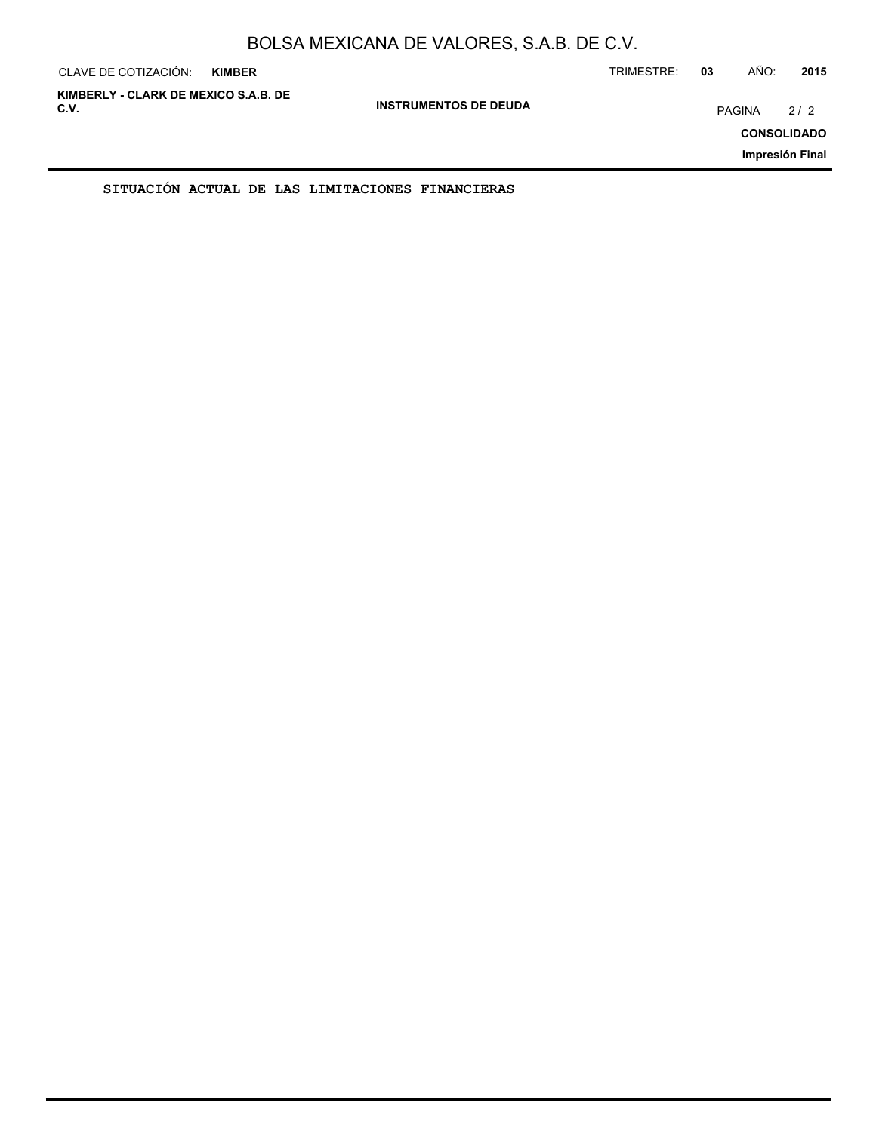| CLAVE DE COTIZACIÓN:                         | <b>KIMBER</b> |                              | TRIMESTRE: | 03            | AÑO: | 2015                                         |
|----------------------------------------------|---------------|------------------------------|------------|---------------|------|----------------------------------------------|
| KIMBERLY - CLARK DE MEXICO S.A.B. DE<br>C.V. |               | <b>INSTRUMENTOS DE DEUDA</b> |            | <b>PAGINA</b> |      | 2/2<br><b>CONSOLIDADO</b><br>Impresión Final |
|                                              |               |                              |            |               |      |                                              |

**SITUACIÓN ACTUAL DE LAS LIMITACIONES FINANCIERAS**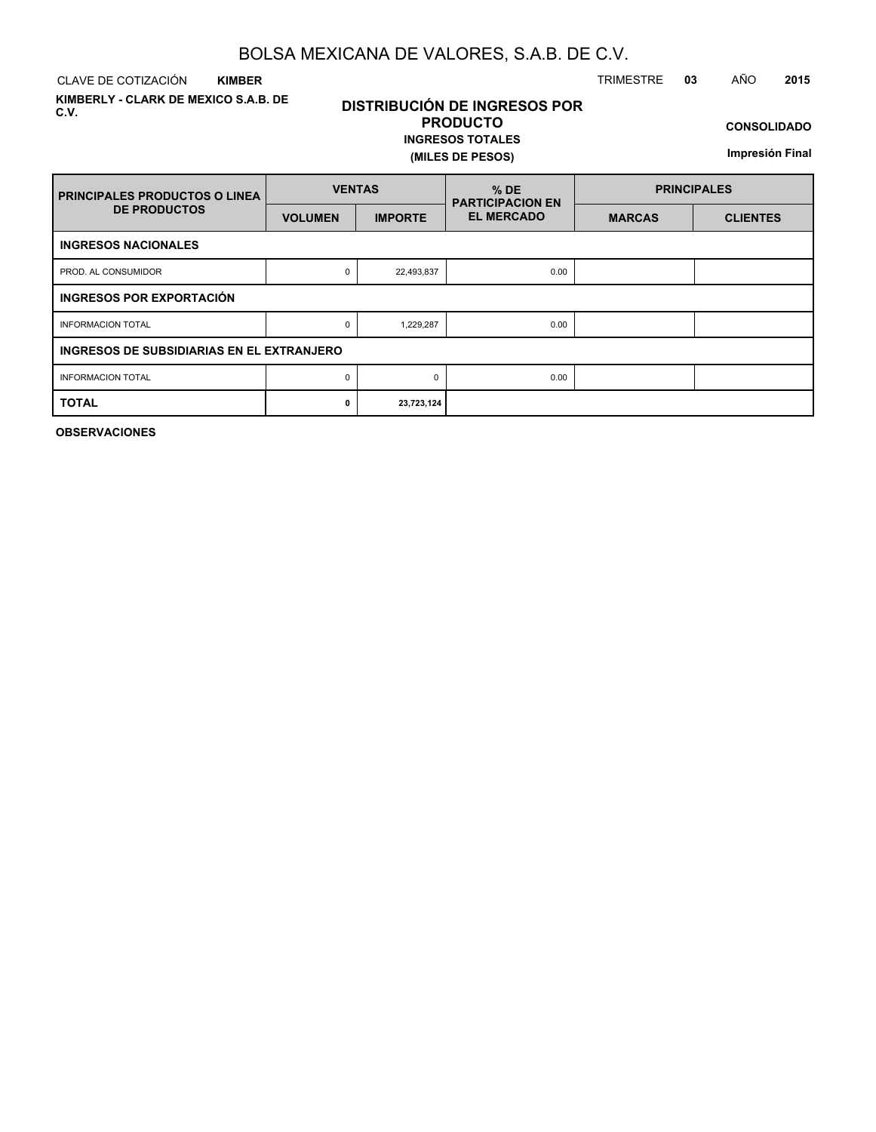CLAVE DE COTIZACIÓN TRIMESTRE **03** AÑO **2015 KIMBER**

**KIMBERLY - CLARK DE MEXICO S.A.B. DE C.V.**

# **DISTRIBUCIÓN DE INGRESOS POR PRODUCTO**

## **INGRESOS TOTALES (MILES DE PESOS)**

**CONSOLIDADO**

**Impresión Final**

| <b>PRINCIPALES PRODUCTOS O LINEA</b>      | <b>VENTAS</b>  |                | $%$ DE<br><b>PARTICIPACION EN</b> | <b>PRINCIPALES</b> |                 |  |  |  |  |  |  |  |
|-------------------------------------------|----------------|----------------|-----------------------------------|--------------------|-----------------|--|--|--|--|--|--|--|
| <b>DE PRODUCTOS</b>                       | <b>VOLUMEN</b> | <b>IMPORTE</b> | <b>EL MERCADO</b>                 | <b>MARCAS</b>      | <b>CLIENTES</b> |  |  |  |  |  |  |  |
| <b>INGRESOS NACIONALES</b>                |                |                |                                   |                    |                 |  |  |  |  |  |  |  |
| PROD. AL CONSUMIDOR                       | 0              | 22,493,837     | 0.00                              |                    |                 |  |  |  |  |  |  |  |
| <b>INGRESOS POR EXPORTACIÓN</b>           |                |                |                                   |                    |                 |  |  |  |  |  |  |  |
| <b>INFORMACION TOTAL</b>                  | 0              | 1,229,287      | 0.00                              |                    |                 |  |  |  |  |  |  |  |
| INGRESOS DE SUBSIDIARIAS EN EL EXTRANJERO |                |                |                                   |                    |                 |  |  |  |  |  |  |  |
| <b>INFORMACION TOTAL</b>                  | 0              | $\Omega$       | 0.00                              |                    |                 |  |  |  |  |  |  |  |
| <b>TOTAL</b>                              | 0              | 23,723,124     |                                   |                    |                 |  |  |  |  |  |  |  |

**OBSERVACIONES**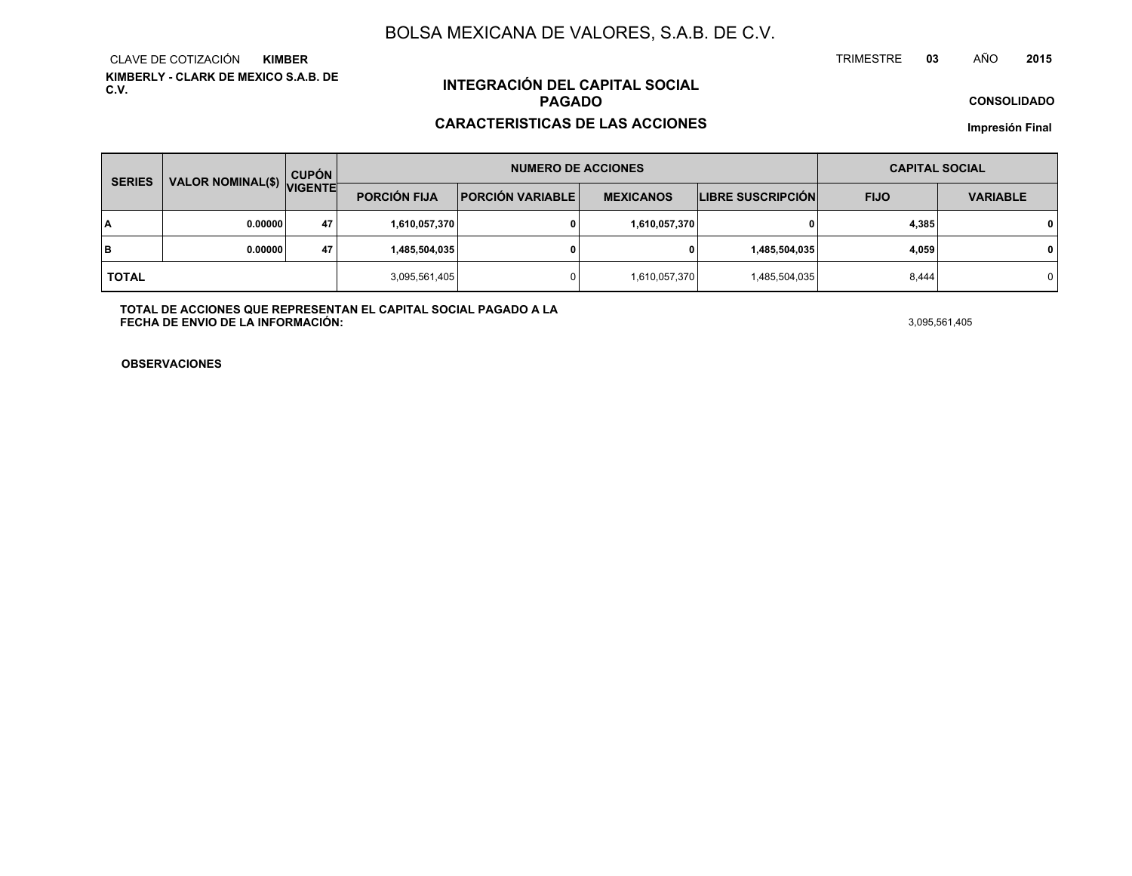**KIMBERLY - CLARK DE MEXICO S.A.B. DE C.V.**CLAVE DE COTIZACIÓN**KIMBER**

# **INTEGRACIÓN DEL CAPITAL SOCIALPAGADO**

#### **CARACTERISTICAS DE LAS ACCIONES**

**CONSOLIDADO**

**<sup>03</sup>** AÑO

**Impresión Final**

| <b>SERIES</b> | <b>VALOR NOMINAL(\$)</b> | <b>CUPÓN</b>   |                     | <b>NUMERO DE ACCIONES</b> | <b>CAPITAL SOCIAL</b> |                          |             |                 |
|---------------|--------------------------|----------------|---------------------|---------------------------|-----------------------|--------------------------|-------------|-----------------|
|               |                          | <b>VIGENTE</b> | <b>PORCIÓN FIJA</b> | <b>PORCIÓN VARIABLE</b>   | <b>MEXICANOS</b>      | <b>LIBRE SUSCRIPCIÓN</b> | <b>FIJO</b> | <b>VARIABLE</b> |
| I٨            | 0.00000                  | 47             | 1,610,057,370       |                           | 1,610,057,370         |                          | 4,385       | $\mathbf{0}$    |
| lв            | 0.00000                  | 47             | 1,485,504,035       |                           |                       | 1,485,504,035            | 4,059       | $\mathbf 0$     |
| <b>TOTAL</b>  |                          |                | 3,095,561,405       |                           | 1,610,057,370         | 1,485,504,035            | 8,444       | $\Omega$        |

**TOTAL DE ACCIONES QUE REPRESENTAN EL CAPITAL SOCIAL PAGADO A LAFECHA DE ENVIO DE LA INFORMACIÓN:** $3,095,561,405$ 

TRIMESTRE

**OBSERVACIONES**

**<sup>2015</sup>**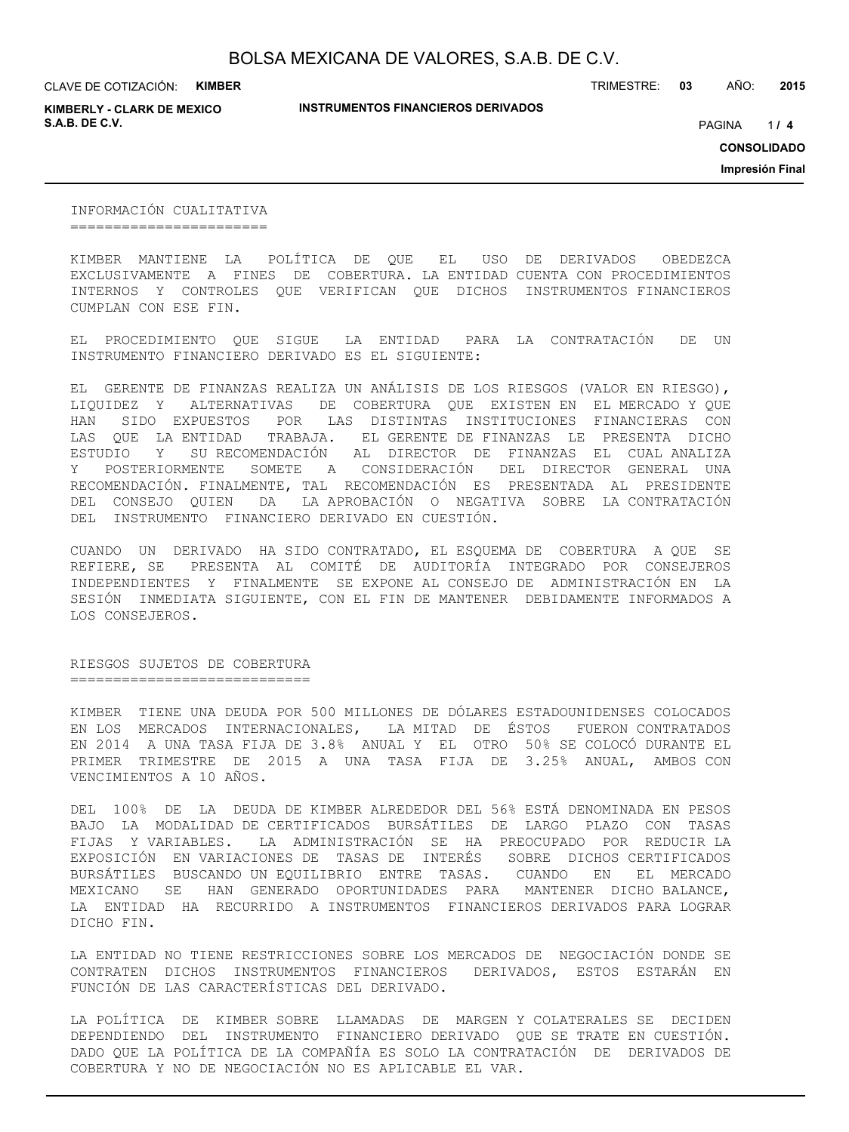CLAVE DE COTIZACIÓN: **KIMBER**

**KIMBERLY - CLARK DE MEXICO S.A.B. DE C.V.** *A* **PAGINA <b>***11* **<b>4 PAGINA** *4 PAGINA <i>4 PAGINA 4 PAGINA 4 PAGINA <i>4 PAGINA*

**INSTRUMENTOS FINANCIEROS DERIVADOS**

TRIMESTRE: **03** AÑO: **2015**

 $1/4$ 

**CONSOLIDADO**

**Impresión Final**

INFORMACIÓN CUALITATIVA =======================

KIMBER MANTIENE LA POLÍTICA DE QUE EL USO DE DERIVADOS OBEDEZCA EXCLUSIVAMENTE A FINES DE COBERTURA. LA ENTIDAD CUENTA CON PROCEDIMIENTOS INTERNOS Y CONTROLES QUE VERIFICAN QUE DICHOS INSTRUMENTOS FINANCIEROS CUMPLAN CON ESE FIN.

EL PROCEDIMIENTO QUE SIGUE LA ENTIDAD PARA LA CONTRATACIÓN DE UN INSTRUMENTO FINANCIERO DERIVADO ES EL SIGUIENTE:

EL GERENTE DE FINANZAS REALIZA UN ANÁLISIS DE LOS RIESGOS (VALOR EN RIESGO), LIQUIDEZ Y ALTERNATIVAS DE COBERTURA QUE EXISTEN EN EL MERCADO Y QUE HAN SIDO EXPUESTOS POR LAS DISTINTAS INSTITUCIONES FINANCIERAS CON LAS QUE LA ENTIDAD TRABAJA. EL GERENTE DE FINANZAS LE PRESENTA DICHO ESTUDIO Y SU RECOMENDACIÓN AL DIRECTOR DE FINANZAS EL CUAL ANALIZA Y POSTERIORMENTE SOMETE A CONSIDERACIÓN DEL DIRECTOR GENERAL UNA RECOMENDACIÓN. FINALMENTE, TAL RECOMENDACIÓN ES PRESENTADA AL PRESIDENTE DEL CONSEJO QUIEN DA LA APROBACIÓN O NEGATIVA SOBRE LA CONTRATACIÓN DEL INSTRUMENTO FINANCIERO DERIVADO EN CUESTIÓN.

CUANDO UN DERIVADO HA SIDO CONTRATADO, EL ESQUEMA DE COBERTURA A QUE SE REFIERE, SE PRESENTA AL COMITÉ DE AUDITORÍA INTEGRADO POR CONSEJEROS INDEPENDIENTES Y FINALMENTE SE EXPONE AL CONSEJO DE ADMINISTRACIÓN EN LA SESIÓN INMEDIATA SIGUIENTE, CON EL FIN DE MANTENER DEBIDAMENTE INFORMADOS A LOS CONSEJEROS.

RIESGOS SUJETOS DE COBERTURA ===============================

KIMBER TIENE UNA DEUDA POR 500 MILLONES DE DÓLARES ESTADOUNIDENSES COLOCADOS EN LOS MERCADOS INTERNACIONALES, LA MITAD DE ÉSTOS FUERON CONTRATADOS EN 2014 A UNA TASA FIJA DE 3.8% ANUAL Y EL OTRO 50% SE COLOCÓ DURANTE EL PRIMER TRIMESTRE DE 2015 A UNA TASA FIJA DE 3.25% ANUAL, AMBOS CON VENCIMIENTOS A 10 AÑOS.

DEL 100% DE LA DEUDA DE KIMBER ALREDEDOR DEL 56% ESTÁ DENOMINADA EN PESOS BAJO LA MODALIDAD DE CERTIFICADOS BURSÁTILES DE LARGO PLAZO CON TASAS FIJAS Y VARIABLES. LA ADMINISTRACIÓN SE HA PREOCUPADO POR REDUCIR LA EXPOSICIÓN EN VARIACIONES DE TASAS DE INTERÉS SOBRE DICHOS CERTIFICADOS BURSÁTILES BUSCANDO UN EQUILIBRIO ENTRE TASAS. CUANDO EN EL MERCADO MEXICANO SE HAN GENERADO OPORTUNIDADES PARA MANTENER DICHO BALANCE, LA ENTIDAD HA RECURRIDO A INSTRUMENTOS FINANCIEROS DERIVADOS PARA LOGRAR DICHO FIN.

LA ENTIDAD NO TIENE RESTRICCIONES SOBRE LOS MERCADOS DE NEGOCIACIÓN DONDE SE CONTRATEN DICHOS INSTRUMENTOS FINANCIEROS DERIVADOS, ESTOS ESTARÁN EN FUNCIÓN DE LAS CARACTERÍSTICAS DEL DERIVADO.

LA POLÍTICA DE KIMBER SOBRE LLAMADAS DE MARGEN Y COLATERALES SE DECIDEN DEPENDIENDO DEL INSTRUMENTO FINANCIERO DERIVADO QUE SE TRATE EN CUESTIÓN. DADO QUE LA POLÍTICA DE LA COMPAÑÍA ES SOLO LA CONTRATACIÓN DE DERIVADOS DE COBERTURA Y NO DE NEGOCIACIÓN NO ES APLICABLE EL VAR.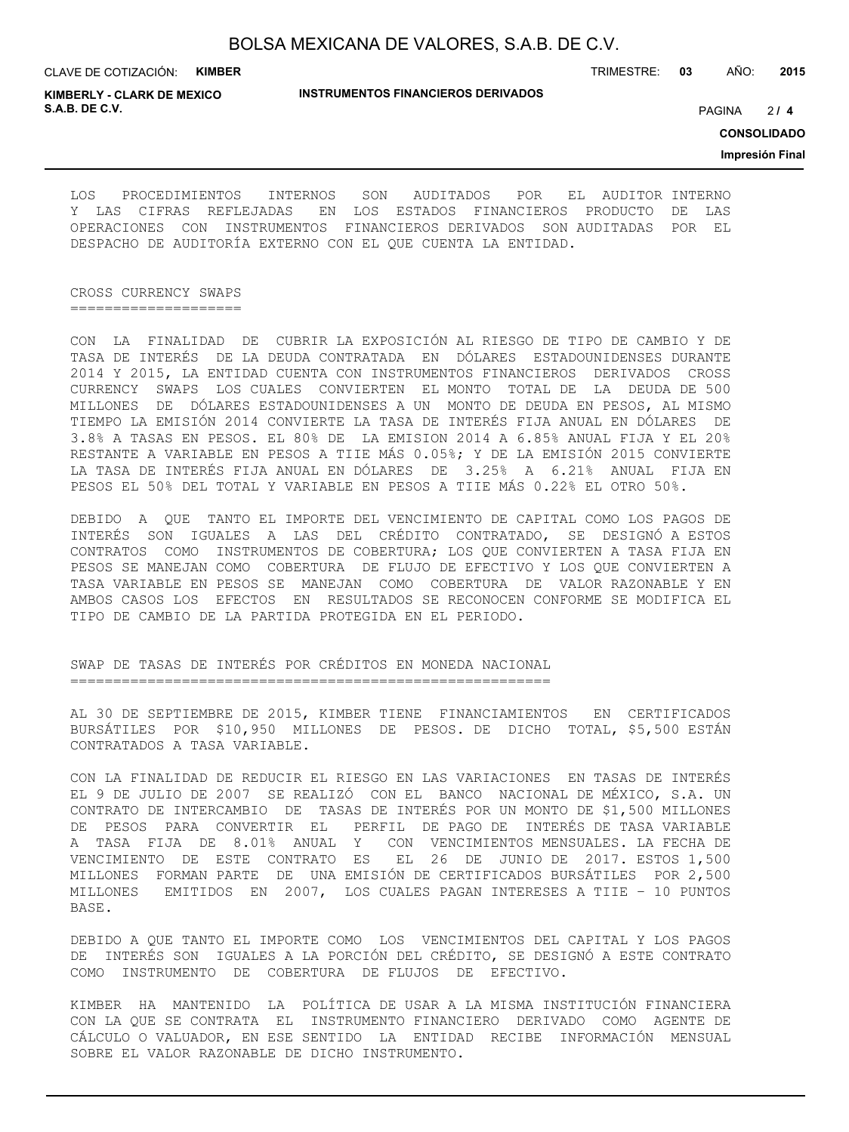CLAVE DE COTIZACIÓN: **KIMBER**

**INSTRUMENTOS FINANCIEROS DERIVADOS**

TRIMESTRE: **03** AÑO: **2015**

**KIMBERLY - CLARK DE MEXICO S.A.B. DE C.V.** PAGINA **/ 4**

 $214$ 

**CONSOLIDADO**

**Impresión Final**

LOS PROCEDIMIENTOS INTERNOS SON AUDITADOS POR EL AUDITOR INTERNO Y LAS CIFRAS REFLEJADAS EN LOS ESTADOS FINANCIEROS PRODUCTO DE LAS OPERACIONES CON INSTRUMENTOS FINANCIEROS DERIVADOS SON AUDITADAS POR EL DESPACHO DE AUDITORÍA EXTERNO CON EL QUE CUENTA LA ENTIDAD.

CROSS CURRENCY SWAPS ====================

CON LA FINALIDAD DE CUBRIR LA EXPOSICIÓN AL RIESGO DE TIPO DE CAMBIO Y DE TASA DE INTERÉS DE LA DEUDA CONTRATADA EN DÓLARES ESTADOUNIDENSES DURANTE 2014 Y 2015, LA ENTIDAD CUENTA CON INSTRUMENTOS FINANCIEROS DERIVADOS CROSS CURRENCY SWAPS LOS CUALES CONVIERTEN EL MONTO TOTAL DE LA DEUDA DE 500 MILLONES DE DÓLARES ESTADOUNIDENSES A UN MONTO DE DEUDA EN PESOS, AL MISMO TIEMPO LA EMISIÓN 2014 CONVIERTE LA TASA DE INTERÉS FIJA ANUAL EN DÓLARES DE 3.8% A TASAS EN PESOS. EL 80% DE LA EMISION 2014 A 6.85% ANUAL FIJA Y EL 20% RESTANTE A VARIABLE EN PESOS A TIIE MÁS 0.05%; Y DE LA EMISIÓN 2015 CONVIERTE LA TASA DE INTERÉS FIJA ANUAL EN DÓLARES DE 3.25% A 6.21% ANUAL FIJA EN PESOS EL 50% DEL TOTAL Y VARIABLE EN PESOS A TIIE MÁS 0.22% EL OTRO 50%.

DEBIDO A QUE TANTO EL IMPORTE DEL VENCIMIENTO DE CAPITAL COMO LOS PAGOS DE INTERÉS SON IGUALES A LAS DEL CRÉDITO CONTRATADO, SE DESIGNÓ A ESTOS CONTRATOS COMO INSTRUMENTOS DE COBERTURA; LOS QUE CONVIERTEN A TASA FIJA EN PESOS SE MANEJAN COMO COBERTURA DE FLUJO DE EFECTIVO Y LOS QUE CONVIERTEN A TASA VARIABLE EN PESOS SE MANEJAN COMO COBERTURA DE VALOR RAZONABLE Y EN AMBOS CASOS LOS EFECTOS EN RESULTADOS SE RECONOCEN CONFORME SE MODIFICA EL TIPO DE CAMBIO DE LA PARTIDA PROTEGIDA EN EL PERIODO.

SWAP DE TASAS DE INTERÉS POR CRÉDITOS EN MONEDA NACIONAL ========================================================

AL 30 DE SEPTIEMBRE DE 2015, KIMBER TIENE FINANCIAMIENTOS EN CERTIFICADOS BURSÁTILES POR \$10,950 MILLONES DE PESOS. DE DICHO TOTAL, \$5,500 ESTÁN CONTRATADOS A TASA VARIABLE.

CON LA FINALIDAD DE REDUCIR EL RIESGO EN LAS VARIACIONES EN TASAS DE INTERÉS EL 9 DE JULIO DE 2007 SE REALIZÓ CON EL BANCO NACIONAL DE MÉXICO, S.A. UN CONTRATO DE INTERCAMBIO DE TASAS DE INTERÉS POR UN MONTO DE \$1,500 MILLONES DE PESOS PARA CONVERTIR EL PERFIL DE PAGO DE INTERÉS DE TASA VARIABLE A TASA FIJA DE 8.01% ANUAL Y CON VENCIMIENTOS MENSUALES. LA FECHA DE VENCIMIENTO DE ESTE CONTRATO ES EL 26 DE JUNIO DE 2017. ESTOS 1,500 MILLONES FORMAN PARTE DE UNA EMISIÓN DE CERTIFICADOS BURSÁTILES POR 2,500 MILLONES EMITIDOS EN 2007, LOS CUALES PAGAN INTERESES A TIIE – 10 PUNTOS BASE.

DEBIDO A QUE TANTO EL IMPORTE COMO LOS VENCIMIENTOS DEL CAPITAL Y LOS PAGOS DE INTERÉS SON IGUALES A LA PORCIÓN DEL CRÉDITO, SE DESIGNÓ A ESTE CONTRATO COMO INSTRUMENTO DE COBERTURA DE FLUJOS DE EFECTIVO.

KIMBER HA MANTENIDO LA POLÍTICA DE USAR A LA MISMA INSTITUCIÓN FINANCIERA CON LA QUE SE CONTRATA EL INSTRUMENTO FINANCIERO DERIVADO COMO AGENTE DE CÁLCULO O VALUADOR, EN ESE SENTIDO LA ENTIDAD RECIBE INFORMACIÓN MENSUAL SOBRE EL VALOR RAZONABLE DE DICHO INSTRUMENTO.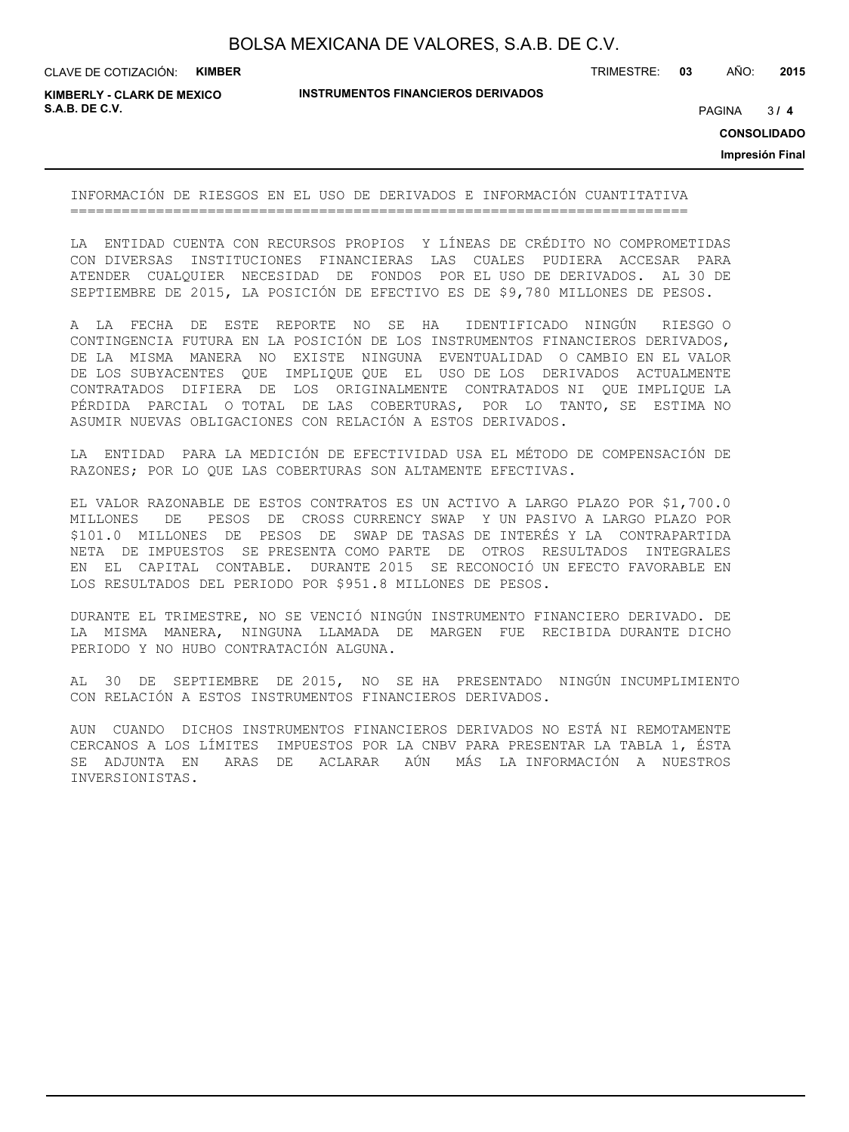CLAVE DE COTIZACIÓN: **KIMBER**

**INSTRUMENTOS FINANCIEROS DERIVADOS**

TRIMESTRE: **03** AÑO: **2015**

**KIMBERLY - CLARK DE MEXICO S.A.B. DE C.V.** PAGINA **/ 4**

 $3/4$ 

**CONSOLIDADO**

**Impresión Final**

INFORMACIÓN DE RIESGOS EN EL USO DE DERIVADOS E INFORMACIÓN CUANTITATIVA ========================================================================

LA ENTIDAD CUENTA CON RECURSOS PROPIOS Y LÍNEAS DE CRÉDITO NO COMPROMETIDAS CON DIVERSAS INSTITUCIONES FINANCIERAS LAS CUALES PUDIERA ACCESAR PARA ATENDER CUALQUIER NECESIDAD DE FONDOS POR EL USO DE DERIVADOS. AL 30 DE SEPTIEMBRE DE 2015, LA POSICIÓN DE EFECTIVO ES DE \$9,780 MILLONES DE PESOS.

A LA FECHA DE ESTE REPORTE NO SE HA IDENTIFICADO NINGÚN RIESGO O CONTINGENCIA FUTURA EN LA POSICIÓN DE LOS INSTRUMENTOS FINANCIEROS DERIVADOS, DE LA MISMA MANERA NO EXISTE NINGUNA EVENTUALIDAD O CAMBIO EN EL VALOR DE LOS SUBYACENTES QUE IMPLIQUE QUE EL USO DE LOS DERIVADOS ACTUALMENTE CONTRATADOS DIFIERA DE LOS ORIGINALMENTE CONTRATADOS NI QUE IMPLIQUE LA PÉRDIDA PARCIAL O TOTAL DE LAS COBERTURAS, POR LO TANTO, SE ESTIMA NO ASUMIR NUEVAS OBLIGACIONES CON RELACIÓN A ESTOS DERIVADOS.

LA ENTIDAD PARA LA MEDICIÓN DE EFECTIVIDAD USA EL MÉTODO DE COMPENSACIÓN DE RAZONES; POR LO QUE LAS COBERTURAS SON ALTAMENTE EFECTIVAS.

EL VALOR RAZONABLE DE ESTOS CONTRATOS ES UN ACTIVO A LARGO PLAZO POR \$1,700.0 MILLONES DE PESOS DE CROSS CURRENCY SWAP Y UN PASIVO A LARGO PLAZO POR \$101.0 MILLONES DE PESOS DE SWAP DE TASAS DE INTERÉS Y LA CONTRAPARTIDA NETA DE IMPUESTOS SE PRESENTA COMO PARTE DE OTROS RESULTADOS INTEGRALES EN EL CAPITAL CONTABLE. DURANTE 2015 SE RECONOCIÓ UN EFECTO FAVORABLE EN LOS RESULTADOS DEL PERIODO POR \$951.8 MILLONES DE PESOS.

DURANTE EL TRIMESTRE, NO SE VENCIÓ NINGÚN INSTRUMENTO FINANCIERO DERIVADO. DE LA MISMA MANERA, NINGUNA LLAMADA DE MARGEN FUE RECIBIDA DURANTE DICHO PERIODO Y NO HUBO CONTRATACIÓN ALGUNA.

AL 30 DE SEPTIEMBRE DE 2015, NO SE HA PRESENTADO NINGÚN INCUMPLIMIENTO CON RELACIÓN A ESTOS INSTRUMENTOS FINANCIEROS DERIVADOS.

AUN CUANDO DICHOS INSTRUMENTOS FINANCIEROS DERIVADOS NO ESTÁ NI REMOTAMENTE CERCANOS A LOS LÍMITES IMPUESTOS POR LA CNBV PARA PRESENTAR LA TABLA 1, ÉSTA SE ADJUNTA EN ARAS DE ACLARAR AÚN MÁS LA INFORMACIÓN A NUESTROS INVERSIONISTAS.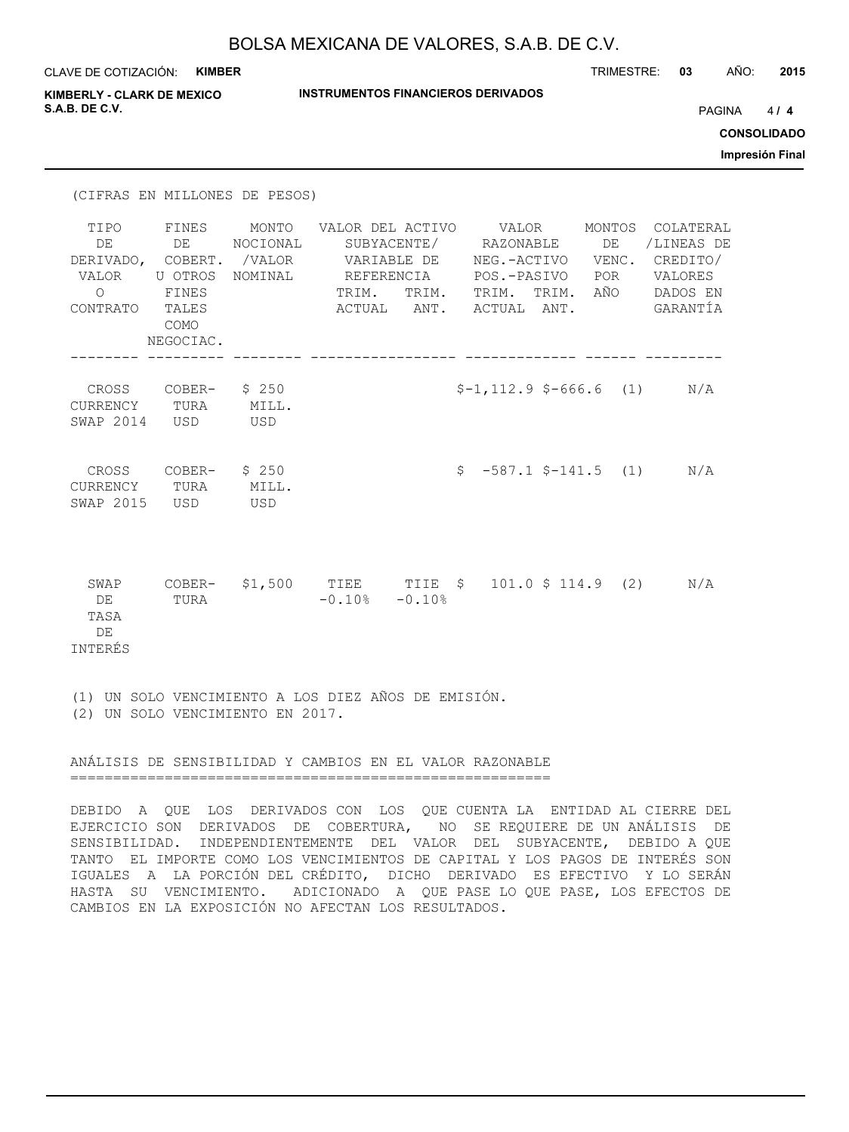| CLAVE DE COTIZACIÓN: KIMBER                                            |                                                    |                                      |                                                                               |       |                                                                                                              | TRIMESTRE: 03    |                                               | AÑO:   | 2015               |
|------------------------------------------------------------------------|----------------------------------------------------|--------------------------------------|-------------------------------------------------------------------------------|-------|--------------------------------------------------------------------------------------------------------------|------------------|-----------------------------------------------|--------|--------------------|
| <b>KIMBERLY - CLARK DE MEXICO</b>                                      |                                                    |                                      | <b>INSTRUMENTOS FINANCIEROS DERIVADOS</b>                                     |       |                                                                                                              |                  |                                               |        |                    |
| S.A.B. DE C.V.                                                         |                                                    |                                      |                                                                               |       |                                                                                                              |                  |                                               | PAGINA | 4/4                |
|                                                                        |                                                    |                                      |                                                                               |       |                                                                                                              |                  |                                               |        | <b>CONSOLIDADO</b> |
|                                                                        |                                                    |                                      |                                                                               |       |                                                                                                              |                  |                                               |        | Impresión Final    |
| (CIFRAS EN MILLONES DE PESOS)                                          |                                                    |                                      |                                                                               |       |                                                                                                              |                  |                                               |        |                    |
| TIPO<br>DE<br>DERIVADO, COBERT. /VALOR<br>VALOR<br>$\circ$<br>CONTRATO | FINES<br>DE<br>FINES<br>TALES<br>COMO<br>NEGOCIAC. | MONTO<br>NOCIONAL<br>U OTROS NOMINAL | VALOR DEL ACTIVO VALOR MONTOS COLATERAL<br>REFERENCIA<br>TRIM.<br>ACTUAL ANT. | TRIM. | SUBYACENTE/ RAZONABLE<br>VARIABLE DE NEG.-ACTIVO VENC. CREDITO/<br>POS.-PASIVO<br>TRIM. TRIM.<br>ACTUAL ANT. | DE<br>POR<br>AÑO | /LINEAS DE<br>VALORES<br>DADOS EN<br>GARANTÍA |        |                    |
| CROSS COBER-<br>CURRENCY TURA<br>SWAP 2014 USD                         |                                                    | \$250<br>MILL.<br>USD                |                                                                               |       | $$-1, 112.9$ $$-666.6$ (1) $N/A$                                                                             |                  |                                               |        |                    |
| CROSS COBER- \$250<br>CURRENCY TURA<br>SWAP 2015 USD                   |                                                    | MILL.<br>USD                         |                                                                               |       | $$-587.1$ $$-141.5$ (1)                                                                                      |                  | N/A                                           |        |                    |
| SWAP<br>DE<br>TASA<br>DE<br><b>INTERÉS</b>                             | TURA                                               |                                      | COBER- $$1,500$ TIEE TIIE $$$ 101.0 $$114.9$ (2)<br>$-0.10$ % $-0.10$ %       |       |                                                                                                              |                  | N/A                                           |        |                    |

(1) UN SOLO VENCIMIENTO A LOS DIEZ AÑOS DE EMISIÓN. (2) UN SOLO VENCIMIENTO EN 2017.

ANÁLISIS DE SENSIBILIDAD Y CAMBIOS EN EL VALOR RAZONABLE ========================================================

DEBIDO A QUE LOS DERIVADOS CON LOS QUE CUENTA LA ENTIDAD AL CIERRE DEL EJERCICIO SON DERIVADOS DE COBERTURA, NO SE REQUIERE DE UN ANÁLISIS DE SENSIBILIDAD. INDEPENDIENTEMENTE DEL VALOR DEL SUBYACENTE, DEBIDO A QUE TANTO EL IMPORTE COMO LOS VENCIMIENTOS DE CAPITAL Y LOS PAGOS DE INTERÉS SON IGUALES A LA PORCIÓN DEL CRÉDITO, DICHO DERIVADO ES EFECTIVO Y LO SERÁN HASTA SU VENCIMIENTO. ADICIONADO A QUE PASE LO QUE PASE, LOS EFECTOS DE CAMBIOS EN LA EXPOSICIÓN NO AFECTAN LOS RESULTADOS.